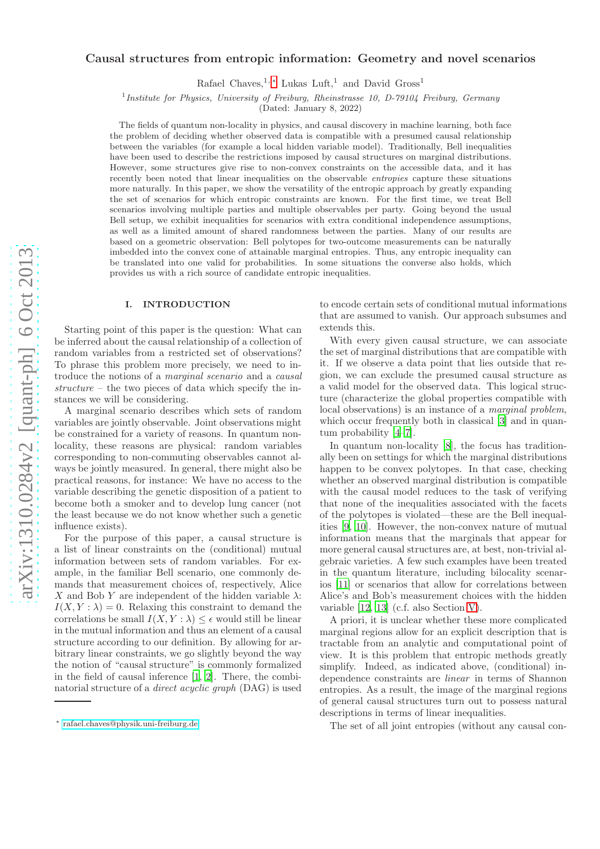# arXiv:1310.0284v2 [quant-ph] 6 Oct 2013 [arXiv:1310.0284v2 \[quant-ph\] 6 Oct 2013](http://arxiv.org/abs/1310.0284v2)

# Causal structures from entropic information: Geometry and novel scenarios

Rafael Chaves,<sup>1,\*</sup> Lukas Luft,<sup>1</sup> and David Gross<sup>1</sup>

<sup>1</sup> Institute for Physics, University of Freiburg, Rheinstrasse 10, D-79104 Freiburg, Germany

(Dated: January 8, 2022)

The fields of quantum non-locality in physics, and causal discovery in machine learning, both face the problem of deciding whether observed data is compatible with a presumed causal relationship between the variables (for example a local hidden variable model). Traditionally, Bell inequalities have been used to describe the restrictions imposed by causal structures on marginal distributions. However, some structures give rise to non-convex constraints on the accessible data, and it has recently been noted that linear inequalities on the observable entropies capture these situations more naturally. In this paper, we show the versatility of the entropic approach by greatly expanding the set of scenarios for which entropic constraints are known. For the first time, we treat Bell scenarios involving multiple parties and multiple observables per party. Going beyond the usual Bell setup, we exhibit inequalities for scenarios with extra conditional independence assumptions, as well as a limited amount of shared randomness between the parties. Many of our results are based on a geometric observation: Bell polytopes for two-outcome measurements can be naturally imbedded into the convex cone of attainable marginal entropies. Thus, any entropic inequality can be translated into one valid for probabilities. In some situations the converse also holds, which provides us with a rich source of candidate entropic inequalities.

# I. INTRODUCTION

Starting point of this paper is the question: What can be inferred about the causal relationship of a collection of random variables from a restricted set of observations? To phrase this problem more precisely, we need to introduce the notions of a marginal scenario and a causal  $structure$  – the two pieces of data which specify the instances we will be considering.

A marginal scenario describes which sets of random variables are jointly observable. Joint observations might be constrained for a variety of reasons. In quantum nonlocality, these reasons are physical: random variables corresponding to non-commuting observables cannot always be jointly measured. In general, there might also be practical reasons, for instance: We have no access to the variable describing the genetic disposition of a patient to become both a smoker and to develop lung cancer (not the least because we do not know whether such a genetic influence exists).

For the purpose of this paper, a causal structure is a list of linear constraints on the (conditional) mutual information between sets of random variables. For example, in the familiar Bell scenario, one commonly demands that measurement choices of, respectively, Alice X and Bob Y are independent of the hidden variable  $\lambda$ :  $I(X, Y : \lambda) = 0$ . Relaxing this constraint to demand the correlations be small  $I(X, Y : \lambda) \leq \epsilon$  would still be linear in the mutual information and thus an element of a causal structure according to our definition. By allowing for arbitrary linear constraints, we go slightly beyond the way the notion of "causal structure" is commonly formalized in the field of causal inference [\[1,](#page-14-0) [2](#page-14-1)]. There, the combinatorial structure of a direct acyclic graph (DAG) is used to encode certain sets of conditional mutual informations that are assumed to vanish. Our approach subsumes and extends this.

With every given causal structure, we can associate the set of marginal distributions that are compatible with it. If we observe a data point that lies outside that region, we can exclude the presumed causal structure as a valid model for the observed data. This logical structure (characterize the global properties compatible with local observations) is an instance of a marginal problem, which occur frequently both in classical [\[3\]](#page-14-2) and in quantum probability [\[4](#page-14-3)[–7\]](#page-14-4).

In quantum non-locality [\[8\]](#page-14-5), the focus has traditionally been on settings for which the marginal distributions happen to be convex polytopes. In that case, checking whether an observed marginal distribution is compatible with the causal model reduces to the task of verifying that none of the inequalities associated with the facets of the polytopes is violated—these are the Bell inequalities [\[9](#page-14-6), [10\]](#page-14-7). However, the non-convex nature of mutual information means that the marginals that appear for more general causal structures are, at best, non-trivial algebraic varieties. A few such examples have been treated in the quantum literature, including bilocality scenarios [\[11](#page-14-8)] or scenarios that allow for correlations between Alice's and Bob's measurement choices with the hidden variable [\[12](#page-14-9), [13](#page-14-10)] (c.f. also Section [V\)](#page-7-0).

A priori, it is unclear whether these more complicated marginal regions allow for an explicit description that is tractable from an analytic and computational point of view. It is this problem that entropic methods greatly simplify. Indeed, as indicated above, (conditional) independence constraints are linear in terms of Shannon entropies. As a result, the image of the marginal regions of general causal structures turn out to possess natural descriptions in terms of linear inequalities.

The set of all joint entropies (without any causal con-

<span id="page-0-0"></span><sup>∗</sup> [rafael.chaves@physik.uni-freiburg.de](mailto:rafael.chaves@physik.uni-freiburg.de)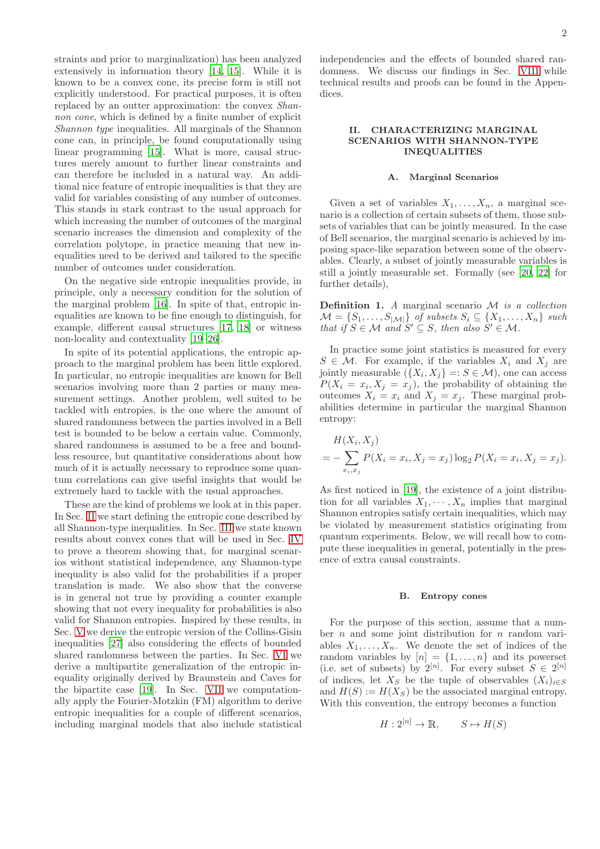straints and prior to marginalization) has been analyzed extensively in information theory [\[14,](#page-14-11) [15\]](#page-14-12). While it is known to be a convex cone, its precise form is still not explicitly understood. For practical purposes, it is often replaced by an outter approximation: the convex Shannon cone, which is defined by a finite number of explicit Shannon type inequalities. All marginals of the Shannon cone can, in principle, be found computationally using linear programming [\[15\]](#page-14-12). What is more, causal structures merely amount to further linear constraints and can therefore be included in a natural way. An additional nice feature of entropic inequalities is that they are valid for variables consisting of any number of outcomes. This stands in stark contrast to the usual approach for which increasing the number of outcomes of the marginal scenario increases the dimension and complexity of the correlation polytope, in practice meaning that new inequalities need to be derived and tailored to the specific number of outcomes under consideration.

On the negative side entropic inequalities provide, in principle, only a necessary condition for the solution of the marginal problem [\[16\]](#page-14-13). In spite of that, entropic inequalities are known to be fine enough to distinguish, for example, different causal structures [\[17,](#page-14-14) [18\]](#page-14-15) or witness non-locality and contextuality [\[19](#page-14-16)[–26\]](#page-14-17).

In spite of its potential applications, the entropic approach to the marginal problem has been little explored. In particular, no entropic inequalities are known for Bell scenarios involving more than 2 parties or many measurement settings. Another problem, well suited to be tackled with entropies, is the one where the amount of shared randomness between the parties involved in a Bell test is bounded to be below a certain value. Commonly, shared randomness is assumed to be a free and boundless resource, but quantitative considerations about how much of it is actually necessary to reproduce some quantum correlations can give useful insights that would be extremely hard to tackle with the usual approaches.

These are the kind of problems we look at in this paper. In Sec. [II](#page-1-0) we start defining the entropic cone described by all Shannon-type inequalities. In Sec. [III](#page-3-0) we state known results about convex cones that will be used in Sec. [IV](#page-4-0) to prove a theorem showing that, for marginal scenarios without statistical independence, any Shannon-type inequality is also valid for the probabilities if a proper translation is made. We also show that the converse is in general not true by providing a counter example showing that not every inequality for probabilities is also valid for Shannon entropies. Inspired by these results, in Sec. [V](#page-7-0) we derive the entropic version of the Collins-Gisin inequalities [\[27\]](#page-14-18) also considering the effects of bounded shared randomness between the parties. In Sec. [VI](#page-9-0) we derive a multipartite generalization of the entropic inequality originally derived by Braunstein and Caves for the bipartite case [\[19\]](#page-14-16). In Sec. [VII](#page-10-0) we computationally apply the Fourier-Motzkin (FM) algorithm to derive entropic inequalities for a couple of different scenarios, including marginal models that also include statistical

independencies and the effects of bounded shared randomness. We discuss our findings in Sec. [VIII](#page-13-0) while technical results and proofs can be found in the Appendices.

# <span id="page-1-0"></span>II. CHARACTERIZING MARGINAL SCENARIOS WITH SHANNON-TYPE INEQUALITIES

### A. Marginal Scenarios

Given a set of variables  $X_1, \ldots, X_n$ , a marginal scenario is a collection of certain subsets of them, those subsets of variables that can be jointly measured. In the case of Bell scenarios, the marginal scenario is achieved by imposing space-like separation between some of the observables. Clearly, a subset of jointly measurable variables is still a jointly measurable set. Formally (see [\[20,](#page-14-19) [22\]](#page-14-20) for further details),

**Definition 1.** A marginal scenario  $M$  is a collection  $\mathcal{M} = \{S_1, \ldots, S_{|\mathcal{M}|}\}\$  of subsets  $S_i \subseteq \{X_1, \ldots, X_n\}\$  such that if  $S \in \mathcal{M}$  and  $S' \subseteq S$ , then also  $S' \in \mathcal{M}$ .

In practice some joint statistics is measured for every  $S \in \mathcal{M}$ . For example, if the variables  $X_i$  and  $X_j$  are jointly measurable  $(\{X_i, X_j\} =: S \in \mathcal{M})$ , one can access  $P(X_i = x_i, X_j = x_j)$ , the probability of obtaining the outcomes  $X_i = x_i$  and  $X_j = x_j$ . These marginal probabilities determine in particular the marginal Shannon entropy:

$$
H(X_i, X_j)
$$
  
=  $-\sum_{x_i, x_j} P(X_i = x_i, X_j = x_j) \log_2 P(X_i = x_i, X_j = x_j).$ 

As first noticed in [\[19](#page-14-16)], the existence of a joint distribution for all variables  $X_1, \dots, X_n$  implies that marginal Shannon entropies satisfy certain inequalities, which may be violated by measurement statistics originating from quantum experiments. Below, we will recall how to compute these inequalities in general, potentially in the presence of extra causal constraints.

### B. Entropy cones

For the purpose of this section, assume that a number  $n$  and some joint distribution for  $n$  random variables  $X_1, \ldots, X_n$ . We denote the set of indices of the random variables by  $[n] = \{1, \ldots, n\}$  and its powerset (i.e. set of subsets) by  $2^{[n]}$ . For every subset  $S \in 2^{[n]}$ of indices, let  $X_S$  be the tuple of observables  $(X_i)_{i \in S}$ and  $H(S) := H(X_S)$  be the associated marginal entropy. With this convention, the entropy becomes a function

$$
H: 2^{[n]} \to \mathbb{R}, \qquad S \mapsto H(S)
$$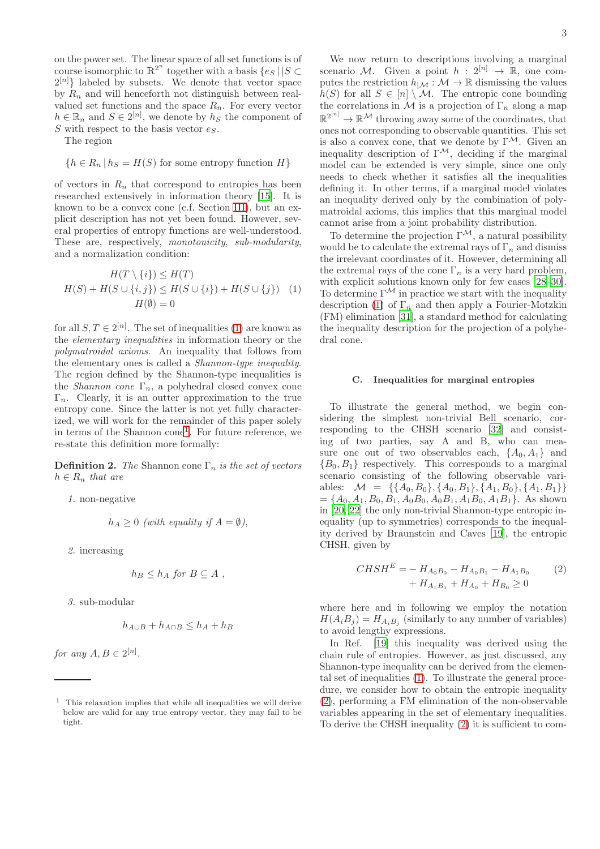on the power set. The linear space of all set functions is of course isomorphic to  $\mathbb{R}^{2^n}$  together with a basis  $\{e_S \mid |S \subset$  $2^{[n]}$ } labeled by subsets. We denote that vector space by  $R_n$  and will henceforth not distinguish between realvalued set functions and the space  $R_n$ . For every vector  $h \in \mathbb{R}_n$  and  $S \in 2^{[n]}$ , we denote by  $h_S$  the component of  $S$  with respect to the basis vector  $e_S$ .

The region

$$
\{h \in R_n \mid h_S = H(S) \text{ for some entropy function } H\}
$$

of vectors in  $R_n$  that correspond to entropies has been researched extensively in information theory [\[15\]](#page-14-12). It is known to be a convex cone (c.f. Section [III\)](#page-3-0), but an explicit description has not yet been found. However, several properties of entropy functions are well-understood. These are, respectively, monotonicity, sub-modularity, and a normalization condition:

$$
H(T \setminus \{i\}) \le H(T)
$$
  

$$
H(S) + H(S \cup \{i, j\}) \le H(S \cup \{i\}) + H(S \cup \{j\}) \quad (1)
$$
  

$$
H(\emptyset) = 0
$$

for all  $S, T \in 2^{[n]}$ . The set of inequalities [\(1\)](#page-2-0) are known as the elementary inequalities in information theory or the polymatroidal axioms. An inequality that follows from the elementary ones is called a Shannon-type inequality. The region defined by the Shannon-type inequalities is the *Shannon cone*  $\Gamma_n$ , a polyhedral closed convex cone  $\Gamma_n$ . Clearly, it is an outter approximation to the true entropy cone. Since the latter is not yet fully characterized, we will work for the remainder of this paper solely in terms of the Shannon cone[1](#page-2-1) . For future reference, we re-state this definition more formally:

**Definition 2.** The Shannon cone  $\Gamma_n$  is the set of vectors  $h \in R_n$  that are

1. non-negative

$$
h_A \ge 0 \text{ (with equality if } A = \emptyset),
$$

2. increasing

$$
h_B \leq h_A \text{ for } B \subseteq A ,
$$

3. sub-modular

$$
h_{A \cup B} + h_{A \cap B} \le h_A + h_B
$$

for any  $A, B \in 2^{[n]}$ .

We now return to descriptions involving a marginal scenario M. Given a point  $h: 2^{[n]} \to \mathbb{R}$ , one computes the restriction  $h_{|\mathcal{M}} : \mathcal{M} \to \mathbb{R}$  dismissing the values  $h(S)$  for all  $S \in [n] \setminus \mathcal{M}$ . The entropic cone bounding the correlations in  $\mathcal M$  is a projection of  $\Gamma_n$  along a map  $\mathbb{R}^{2^{[n]}} \to \mathbb{R}^{\mathcal{M}}$  throwing away some of the coordinates, that ones not corresponding to observable quantities. This set is also a convex cone, that we denote by  $\Gamma^{\cal M}.$  Given an inequality description of  $\Gamma^{\mathcal{M}}$ , deciding if the marginal model can be extended is very simple, since one only needs to check whether it satisfies all the inequalities defining it. In other terms, if a marginal model violates an inequality derived only by the combination of polymatroidal axioms, this implies that this marginal model cannot arise from a joint probability distribution.

<span id="page-2-0"></span>To determine the projection  $\Gamma^{\mathcal{M}}$ , a natural possibility would be to calculate the extremal rays of  $\Gamma_n$  and dismiss the irrelevant coordinates of it. However, determining all the extremal rays of the cone  $\Gamma_n$  is a very hard problem, with explicit solutions known only for few cases [\[28](#page-14-21)[–30\]](#page-14-22). To determine  $\Gamma^{\mathcal{M}}$  in practice we start with the inequality description [\(1\)](#page-2-0) of  $\Gamma_n$  and then apply a Fourier-Motzkin (FM) elimination [\[31\]](#page-14-23), a standard method for calculating the inequality description for the projection of a polyhedral cone.

# C. Inequalities for marginal entropies

To illustrate the general method, we begin considering the simplest non-trivial Bell scenario, corresponding to the CHSH scenario [\[32\]](#page-14-24) and consisting of two parties, say A and B, who can measure one out of two observables each,  $\{A_0, A_1\}$  and  ${B_0, B_1}$  respectively. This corresponds to a marginal scenario consisting of the following observable variables:  $M = \{\{A_0, B_0\}, \{A_0, B_1\}, \{A_1, B_0\}, \{A_1, B_1\}\}\$  $=\{A_0, A_1, B_0, B_1, A_0B_0, A_0B_1, A_1B_0, A_1B_1\}.$  As shown in [\[20](#page-14-19), [22\]](#page-14-20) the only non-trivial Shannon-type entropic inequality (up to symmetries) corresponds to the inequality derived by Braunstein and Caves [\[19\]](#page-14-16), the entropic CHSH, given by

<span id="page-2-2"></span>
$$
CHSH^{E} = - H_{A_0B_0} - H_{A_0B_1} - H_{A_1B_0}
$$
  
+  $H_{A_1B_1} + H_{A_0} + H_{B_0} \ge 0$  (2)

where here and in following we employ the notation  $H(A_i B_j) = H_{A_i B_j}$  (similarly to any number of variables) to avoid lengthy expressions.

In Ref. [\[19](#page-14-16)] this inequality was derived using the chain rule of entropies. However, as just discussed, any Shannon-type inequality can be derived from the elemental set of inequalities [\(1\)](#page-2-0). To illustrate the general procedure, we consider how to obtain the entropic inequality [\(2\)](#page-2-2), performing a FM elimination of the non-observable variables appearing in the set of elementary inequalities. To derive the CHSH inequality [\(2\)](#page-2-2) it is sufficient to com-

<span id="page-2-1"></span> $1$  This relaxation implies that while all inequalities we will derive below are valid for any true entropy vector, they may fail to be tight.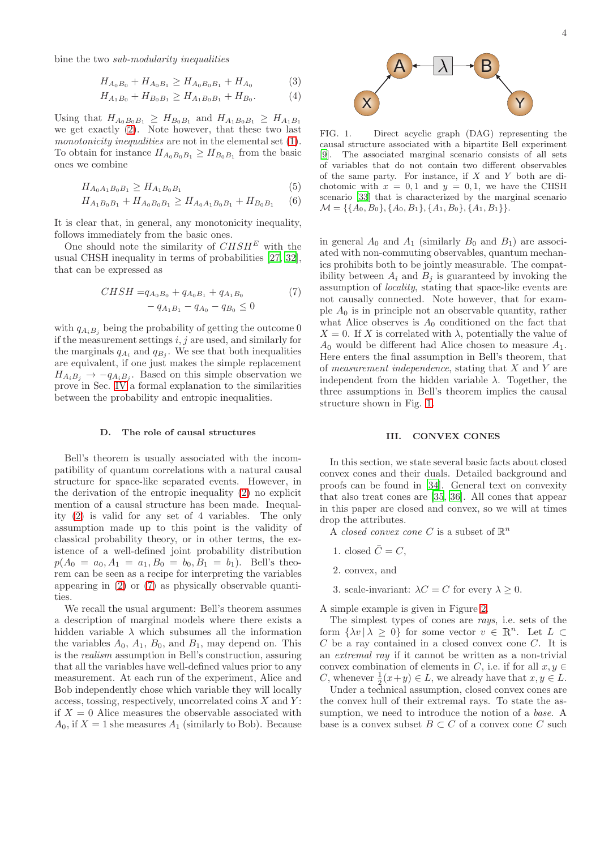bine the two sub-modularity inequalities

$$
H_{A_0B_0} + H_{A_0B_1} \ge H_{A_0B_0B_1} + H_{A_0}
$$
 (3)

$$
H_{A_1B_0} + H_{B_0B_1} \ge H_{A_1B_0B_1} + H_{B_0}.\tag{4}
$$

Using that  $H_{A_0B_0B_1} \geq H_{B_0B_1}$  and  $H_{A_1B_0B_1} \geq H_{A_1B_1}$ we get exactly [\(2\)](#page-2-2). Note however, that these two last monotonicity inequalities are not in the elemental set [\(1\)](#page-2-0). To obtain for instance  $H_{A_0B_0B_1} \geq H_{B_0B_1}$  from the basic ones we combine

$$
H_{A_0A_1B_0B_1} \ge H_{A_1B_0B_1} \tag{5}
$$

$$
H_{A_1B_0B_1} + H_{A_0B_0B_1} \ge H_{A_0A_1B_0B_1} + H_{B_0B_1} \tag{6}
$$

It is clear that, in general, any monotonicity inequality, follows immediately from the basic ones.

One should note the similarity of  $CHSH^E$  with the usual CHSH inequality in terms of probabilities [\[27,](#page-14-18) [32\]](#page-14-24), that can be expressed as

$$
CHSH = q_{A_0B_0} + q_{A_0B_1} + q_{A_1B_0}
$$
  
-  $q_{A_1B_1} - q_{A_0} - q_{B_0} \le 0$  (7)

with  $q_{A_iB_j}$  being the probability of getting the outcome 0 if the measurement settings  $i, j$  are used, and similarly for the marginals  $q_{A_i}$  and  $q_{B_j}$ . We see that both inequalities are equivalent, if one just makes the simple replacement  $H_{A_iB_j} \rightarrow -q_{A_iB_j}$ . Based on this simple observation we prove in Sec. [IV](#page-4-0) a formal explanation to the similarities between the probability and entropic inequalities.

### D. The role of causal structures

Bell's theorem is usually associated with the incompatibility of quantum correlations with a natural causal structure for space-like separated events. However, in the derivation of the entropic inequality [\(2\)](#page-2-2) no explicit mention of a causal structure has been made. Inequality [\(2\)](#page-2-2) is valid for any set of 4 variables. The only assumption made up to this point is the validity of classical probability theory, or in other terms, the existence of a well-defined joint probability distribution  $p(A_0 = a_0, A_1 = a_1, B_0 = b_0, B_1 = b_1)$ . Bell's theorem can be seen as a recipe for interpreting the variables appearing in [\(2\)](#page-2-2) or [\(7\)](#page-3-1) as physically observable quantities.

We recall the usual argument: Bell's theorem assumes a description of marginal models where there exists a hidden variable  $\lambda$  which subsumes all the information the variables  $A_0$ ,  $A_1$ ,  $B_0$ , and  $B_1$ , may depend on. This is the realism assumption in Bell's construction, assuring that all the variables have well-defined values prior to any measurement. At each run of the experiment, Alice and Bob independently chose which variable they will locally access, tossing, respectively, uncorrelated coins  $X$  and  $Y$ : if  $X = 0$  Alice measures the observable associated with  $A_0$ , if  $X = 1$  she measures  $A_1$  (similarly to Bob). Because



<span id="page-3-2"></span>FIG. 1. Direct acyclic graph (DAG) representing the causal structure associated with a bipartite Bell experiment [\[9](#page-14-6)]. The associated marginal scenario consists of all sets of variables that do not contain two different observables of the same party. For instance, if  $X$  and  $Y$  both are dichotomic with  $x = 0, 1$  and  $y = 0, 1$ , we have the CHSH scenario [\[33](#page-14-25)] that is characterized by the marginal scenario  $\mathcal{M} = \{\{A_0, B_0\}, \{A_0, B_1\}, \{A_1, B_0\}, \{A_1, B_1\}\}.$ 

<span id="page-3-1"></span>in general  $A_0$  and  $A_1$  (similarly  $B_0$  and  $B_1$ ) are associated with non-commuting observables, quantum mechanics prohibits both to be jointly measurable. The compatibility between  $A_i$  and  $B_j$  is guaranteed by invoking the assumption of locality, stating that space-like events are not causally connected. Note however, that for example  $A_0$  is in principle not an observable quantity, rather what Alice observes is  $A_0$  conditioned on the fact that  $X = 0$ . If X is correlated with  $\lambda$ , potentially the value of  $A_0$  would be different had Alice chosen to measure  $A_1$ . Here enters the final assumption in Bell's theorem, that of *measurement independence*, stating that  $X$  and  $Y$  are independent from the hidden variable  $\lambda$ . Together, the three assumptions in Bell's theorem implies the causal structure shown in Fig. [1.](#page-3-2)

# <span id="page-3-0"></span>III. CONVEX CONES

In this section, we state several basic facts about closed convex cones and their duals. Detailed background and proofs can be found in [\[34\]](#page-14-26). General text on convexity that also treat cones are [\[35](#page-14-27), [36\]](#page-14-28). All cones that appear in this paper are closed and convex, so we will at times drop the attributes.

A closed convex cone C is a subset of  $\mathbb{R}^n$ 

- 1. closed  $\overline{C} = C$ ,
- 2. convex, and
- 3. scale-invariant:  $\lambda C = C$  for every  $\lambda \geq 0$ .

A simple example is given in Figure [2.](#page-4-1)

The simplest types of cones are rays, i.e. sets of the form  $\{\lambda v \,|\, \lambda \geq 0\}$  for some vector  $v \in \mathbb{R}^n$ . Let  $L \subset$  $C$  be a ray contained in a closed convex cone  $C$ . It is an extremal ray if it cannot be written as a non-trivial convex combination of elements in C, i.e. if for all  $x, y \in$ C, whenever  $\frac{1}{2}(x+y) \in L$ , we already have that  $x, y \in L$ .

Under a technical assumption, closed convex cones are the convex hull of their extremal rays. To state the assumption, we need to introduce the notion of a base. A base is a convex subset  $B \subset C$  of a convex cone C such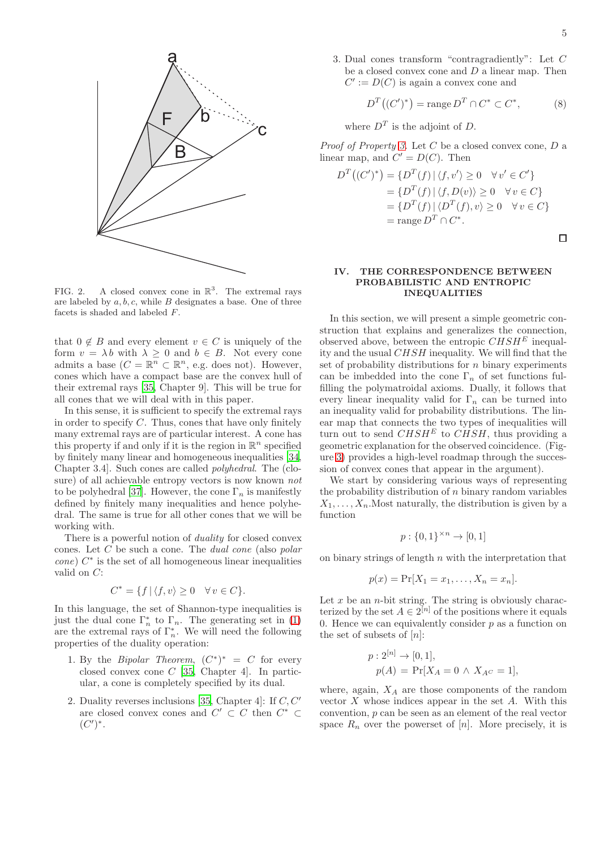

<span id="page-4-1"></span>FIG. 2. A closed convex cone in  $\mathbb{R}^3$ . The extremal rays are labeled by  $a, b, c$ , while  $B$  designates a base. One of three facets is shaded and labeled F.

that  $0 \notin B$  and every element  $v \in C$  is uniquely of the form  $v = \lambda b$  with  $\lambda \geq 0$  and  $b \in B$ . Not every cone admits a base  $(C = \mathbb{R}^n \subset \mathbb{R}^n$ , e.g. does not). However, cones which have a compact base are the convex hull of their extremal rays [\[35,](#page-14-27) Chapter 9]. This will be true for all cones that we will deal with in this paper.

In this sense, it is sufficient to specify the extremal rays in order to specify  $C$ . Thus, cones that have only finitely many extremal rays are of particular interest. A cone has this property if and only if it is the region in  $\mathbb{R}^n$  specified by finitely many linear and homogeneous inequalities [\[34](#page-14-26), Chapter 3.4]. Such cones are called polyhedral. The (closure) of all achievable entropy vectors is now known not to be polyhedral [\[37\]](#page-14-29). However, the cone  $\Gamma_n$  is manifestly defined by finitely many inequalities and hence polyhedral. The same is true for all other cones that we will be working with.

There is a powerful notion of duality for closed convex cones. Let C be such a cone. The dual cone (also polar  $cone)$   $C^*$  is the set of all homogeneous linear inequalities valid on C:

$$
C^* = \{ f | \langle f, v \rangle \ge 0 \quad \forall v \in C \}.
$$

In this language, the set of Shannon-type inequalities is just the dual cone  $\Gamma_n^*$  to  $\Gamma_n$ . The generating set in [\(1\)](#page-2-0) are the extremal rays of  $\Gamma_n^*$ . We will need the following properties of the duality operation:

- 1. By the *Bipolar Theorem*,  $(C^*)^* = C$  for every closed convex cone  $C$  [\[35,](#page-14-27) Chapter 4]. In particular, a cone is completely specified by its dual.
- 2. Duality reverses inclusions [\[35,](#page-14-27) Chapter 4]: If C, C′ are closed convex cones and  $C' \subset C$  then  $C^* \subset$  $(C')^*$ .

<span id="page-4-2"></span>3. Dual cones transform "contragradiently": Let C be a closed convex cone and D a linear map. Then  $C' := D(C)$  is again a convex cone and

<span id="page-4-3"></span>
$$
D^{T}\left((C')^{*}\right) = \operatorname{range} D^{T} \cap C^{*} \subset C^{*},\tag{8}
$$

where  $D<sup>T</sup>$  is the adjoint of D.

*Proof of Property [3.](#page-4-2)* Let  $C$  be a closed convex cone,  $D$  a linear map, and  $C' = D(C)$ . Then

$$
D^T((C')^*) = \{D^T(f) | \langle f, v' \rangle \ge 0 \quad \forall v' \in C' \}
$$
  
=  $\{D^T(f) | \langle f, D(v) \rangle \ge 0 \quad \forall v \in C \}$   
=  $\{D^T(f) | \langle D^T(f), v \rangle \ge 0 \quad \forall v \in C \}$   
= range  $D^T \cap C^*$ .

 $\Box$ 

# <span id="page-4-0"></span>IV. THE CORRESPONDENCE BETWEEN PROBABILISTIC AND ENTROPIC INEQUALITIES

In this section, we will present a simple geometric construction that explains and generalizes the connection, observed above, between the entropic  $CHSH^E$  inequality and the usual CHSH inequality. We will find that the set of probability distributions for  $n$  binary experiments can be imbedded into the cone  $\Gamma_n$  of set functions fulfilling the polymatroidal axioms. Dually, it follows that every linear inequality valid for  $\Gamma_n$  can be turned into an inequality valid for probability distributions. The linear map that connects the two types of inequalities will turn out to send  $CHSH^E$  to  $CHSH$ , thus providing a geometric explanation for the observed coincidence. (Figure [3\)](#page-5-0) provides a high-level roadmap through the succession of convex cones that appear in the argument).

We start by considering various ways of representing the probability distribution of  $n$  binary random variables  $X_1, \ldots, X_n$ . Most naturally, the distribution is given by a function

$$
p: \{0,1\}^{\times n} \to [0,1]
$$

on binary strings of length  $n$  with the interpretation that

$$
p(x) = \Pr[X_1 = x_1, \dots, X_n = x_n].
$$

Let  $x$  be an  $n$ -bit string. The string is obviously characterized by the set  $A \in 2^{[n]}$  of the positions where it equals 0. Hence we can equivalently consider  $p$  as a function on the set of subsets of  $[n]$ :

$$
p: 2^{[n]} \to [0, 1],
$$
  
\n $p(A) = \Pr[X_A = 0 \land X_{A^C} = 1],$ 

where, again,  $X_A$  are those components of the random vector  $X$  whose indices appear in the set  $A$ . With this convention, p can be seen as an element of the real vector space  $R_n$  over the powerset of [n]. More precisely, it is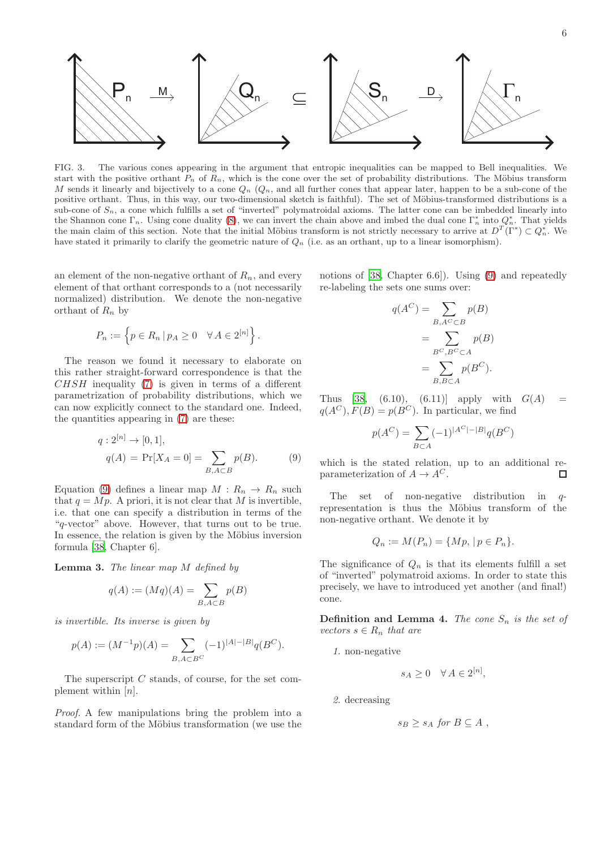

<span id="page-5-0"></span>FIG. 3. The various cones appearing in the argument that entropic inequalities can be mapped to Bell inequalities. We start with the positive orthant  $P_n$  of  $R_n$ , which is the cone over the set of probability distributions. The Möbius transform M sends it linearly and bijectively to a cone  $Q_n$  ( $Q_n$ , and all further cones that appear later, happen to be a sub-cone of the positive orthant. Thus, in this way, our two-dimensional sketch is faithful). The set of Möbius-transformed distributions is a sub-cone of  $S_n$ , a cone which fulfills a set of "inverted" polymatroidal axioms. The latter cone can be imbedded linearly into the Shannon cone  $\Gamma_n$ . Using cone duality [\(8\)](#page-4-3), we can invert the chain above and imbed the dual cone  $\Gamma_n^*$  into  $Q_n^*$ . That yields the main claim of this section. Note that the initial Möbius transform is not strictly necessary to arrive at  $D^T(\Gamma^*) \subset Q_n^*$ . We have stated it primarily to clarify the geometric nature of  $Q_n$  (i.e. as an orthant, up to a linear isomorphism).

an element of the non-negative orthant of  $R_n$ , and every element of that orthant corresponds to a (not necessarily normalized) distribution. We denote the non-negative orthant of  $R_n$  by

$$
P_n := \left\{ p \in R_n \, | \, p_A \ge 0 \quad \forall A \in 2^{[n]} \right\}.
$$

The reason we found it necessary to elaborate on this rather straight-forward correspondence is that the  $CHSH$  inequality [\(7\)](#page-3-1) is given in terms of a different parametrization of probability distributions, which we can now explicitly connect to the standard one. Indeed, the quantities appearing in [\(7\)](#page-3-1) are these:

<span id="page-5-1"></span>
$$
q: 2^{[n]} \to [0, 1],
$$
  
\n
$$
q(A) = \Pr[X_A = 0] = \sum_{B, A \subset B} p(B).
$$
\n(9)

Equation [\(9\)](#page-5-1) defines a linear map  $M: R_n \to R_n$  such that  $q = Mp$ . A priori, it is not clear that M is invertible, i.e. that one can specify a distribution in terms of the "q-vector" above. However, that turns out to be true. In essence, the relation is given by the Möbius inversion formula [\[38](#page-14-30), Chapter 6].

**Lemma 3.** The linear map  $M$  defined by

$$
q(A) := (Mq)(A) = \sum_{B, A \subset B} p(B)
$$

is invertible. Its inverse is given by

$$
p(A) := (M^{-1}p)(A) = \sum_{B, A \subset B^C} (-1)^{|A| - |B|} q(B^C).
$$

The superscript  $C$  stands, of course, for the set complement within [n].

Proof. A few manipulations bring the problem into a standard form of the Möbius transformation (we use the

notions of [\[38](#page-14-30), Chapter 6.6]). Using [\(9\)](#page-5-1) and repeatedly re-labeling the sets one sums over:

$$
q(A^C) = \sum_{B, A^C \subset B} p(B)
$$
  
= 
$$
\sum_{B^C, B^C \subset A} p(B)
$$
  
= 
$$
\sum_{B, B \subset A} p(B^C).
$$

Thus [\[38,](#page-14-30)  $(6.10)$ ,  $(6.11)$ ] apply with  $G(A)$  $q(A^C), F(B) = p(B^C)$ . In particular, we find

$$
p(A^C) = \sum_{B \subset A} (-1)^{|A^C| - |B|} q(B^C)
$$

which is the stated relation, up to an additional reparameterization of  $A \to A^C$ . □

The set of non-negative distribution in  $q$ representation is thus the Möbius transform of the non-negative orthant. We denote it by

$$
Q_n := M(P_n) = \{Mp, \, | \, p \in P_n\}.
$$

The significance of  $Q_n$  is that its elements fulfill a set of "inverted" polymatroid axioms. In order to state this precisely, we have to introduced yet another (and final!) cone.

<span id="page-5-2"></span>**Definition and Lemma 4.** The cone  $S_n$  is the set of vectors  $s \in R_n$  that are

1. non-negative

$$
s_A \ge 0 \quad \forall A \in 2^{[n]},
$$

2. decreasing

$$
s_B \geq s_A \text{ for } B \subseteq A ,
$$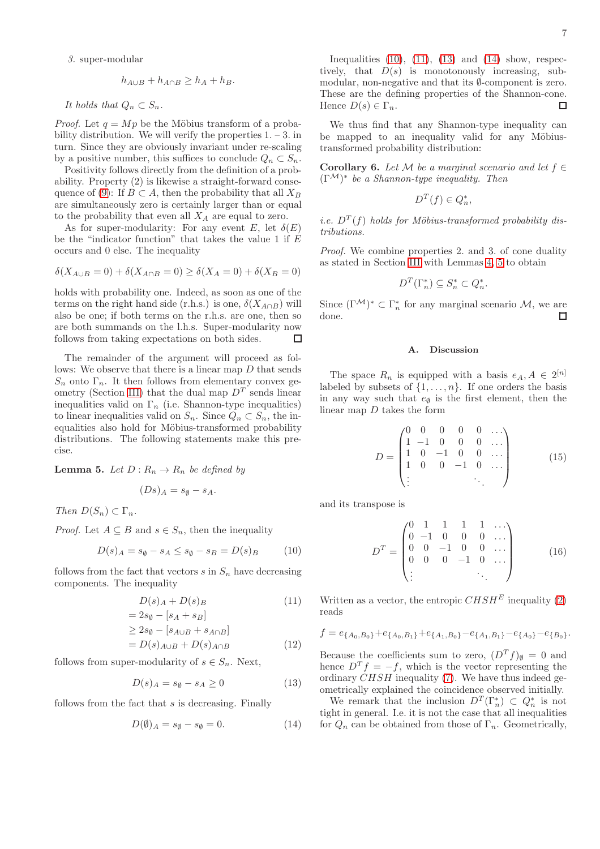3. super-modular

$$
h_{A\cup B} + h_{A\cap B} \ge h_A + h_B.
$$

It holds that  $Q_n \subset S_n$ .

*Proof.* Let  $q = Mp$  be the Möbius transform of a probability distribution. We will verify the properties  $1. - 3.$  in turn. Since they are obviously invariant under re-scaling by a positive number, this suffices to conclude  $Q_n \subset S_n$ .

Positivity follows directly from the definition of a probability. Property (2) is likewise a straight-forward conse-quence of [\(9\)](#page-5-1): If  $B \subset A$ , then the probability that all  $X_B$ are simultaneously zero is certainly larger than or equal to the probability that even all  $X_A$  are equal to zero.

As for super-modularity: For any event E, let  $\delta(E)$ be the "indicator function" that takes the value 1 if  $E$ occurs and 0 else. The inequality

$$
\delta(X_{A\cup B}=0) + \delta(X_{A\cap B}=0) \ge \delta(X_A=0) + \delta(X_B=0)
$$

holds with probability one. Indeed, as soon as one of the terms on the right hand side (r.h.s.) is one,  $\delta(X_{A\cap B})$  will also be one; if both terms on the r.h.s. are one, then so are both summands on the l.h.s. Super-modularity now follows from taking expectations on both sides. П

The remainder of the argument will proceed as follows: We observe that there is a linear map D that sends  $S_n$  onto  $\Gamma_n$ . It then follows from elementary convex ge-ometry (Section [III\)](#page-3-0) that the dual map  $D<sup>T</sup>$  sends linear inequalities valid on  $\Gamma_n$  (i.e. Shannon-type inequalities) to linear inequalities valid on  $S_n$ . Since  $Q_n \subset S_n$ , the inequalities also hold for Möbius-transformed probability distributions. The following statements make this precise.

<span id="page-6-4"></span>**Lemma 5.** Let  $D: R_n \to R_n$  be defined by

$$
(Ds)_A = s_{\emptyset} - s_A.
$$

Then  $D(S_n) \subset \Gamma_n$ .

*Proof.* Let  $A \subseteq B$  and  $s \in S_n$ , then the inequality

<span id="page-6-0"></span>
$$
D(s)_A = s_{\emptyset} - s_A \le s_{\emptyset} - s_B = D(s)_B \tag{10}
$$

follows from the fact that vectors  $s$  in  $S_n$  have decreasing components. The inequality

<span id="page-6-1"></span>
$$
D(s)_{A} + D(s)_{B} \tag{11}
$$

$$
=2s_{\emptyset}-\frac{s_{A}+s_{B} }{s_{A\cup B}+s_{A\cap B}}
$$

$$
= D(s)_{A \cup B} + D(s)_{A \cap B} \tag{12}
$$

follows from super-modularity of  $s \in S_n$ . Next,

<span id="page-6-2"></span>
$$
D(s)_A = s_\emptyset - s_A \ge 0 \tag{13}
$$

follows from the fact that  $s$  is decreasing. Finally

<span id="page-6-3"></span>
$$
D(\emptyset)_A = s_{\emptyset} - s_{\emptyset} = 0. \tag{14}
$$

Inequalities  $(10)$ ,  $(11)$ ,  $(13)$  and  $(14)$  show, respectively, that  $D(s)$  is monotonously increasing, submodular, non-negative and that its ∅-component is zero. These are the defining properties of the Shannon-cone. Hence  $D(s) \in \Gamma_n$ . ◻

We thus find that any Shannon-type inequality can be mapped to an inequality valid for any Möbiustransformed probability distribution:

Corollary 6. Let M be a marginal scenario and let  $f \in$  $(\Gamma^{\mathcal{M}})^*$  be a Shannon-type inequality. Then

$$
D^T(f) \in Q_n^*,
$$

*i.e.*  $D^T(f)$  holds for Möbius-transformed probability distributions.

Proof. We combine properties 2. and 3. of cone duality as stated in Section [III](#page-3-0) with Lemmas [4,](#page-5-2) [5](#page-6-4) to obtain

$$
D^{T}(\Gamma_{n}^{*}) \subseteq S_{n}^{*} \subset Q_{n}^{*}.
$$

Since  $(\Gamma^{\mathcal{M}})^* \subset \Gamma_n^*$  for any marginal scenario  $\mathcal{M}$ , we are done.

### A. Discussion

The space  $R_n$  is equipped with a basis  $e_A, A \in 2^{[n]}$ labeled by subsets of  $\{1, \ldots, n\}$ . If one orders the basis in any way such that  $e_{\emptyset}$  is the first element, then the linear map D takes the form

$$
D = \begin{pmatrix} 0 & 0 & 0 & 0 & 0 & \dots \\ 1 & -1 & 0 & 0 & 0 & \dots \\ 1 & 0 & -1 & 0 & 0 & \dots \\ 1 & 0 & 0 & -1 & 0 & \dots \\ \vdots & & & & \ddots \end{pmatrix}
$$
 (15)

and its transpose is

$$
D^{T} = \begin{pmatrix} 0 & 1 & 1 & 1 & 1 & \cdots \\ 0 & -1 & 0 & 0 & 0 & \cdots \\ 0 & 0 & -1 & 0 & 0 & \cdots \\ 0 & 0 & 0 & -1 & 0 & \cdots \\ \vdots & & & & \ddots \end{pmatrix}
$$
 (16)

Written as a vector, the entropic  $CHSH^E$  inequality [\(2\)](#page-2-2) reads

$$
f = e_{\{A_0, B_0\}} + e_{\{A_0, B_1\}} + e_{\{A_1, B_0\}} - e_{\{A_1, B_1\}} - e_{\{A_0\}} - e_{\{B_0\}}.
$$

Because the coefficients sum to zero,  $(D<sup>T</sup> f)_{\emptyset} = 0$  and hence  $D^T f = -f$ , which is the vector representing the ordinary  $CHSH$  inequality [\(7\)](#page-3-1). We have thus indeed geometrically explained the coincidence observed initially.

We remark that the inclusion  $D^T(\Gamma_n^*) \subset Q_n^*$  is not tight in general. I.e. it is not the case that all inequalities for  $Q_n$  can be obtained from those of  $\Gamma_n$ . Geometrically,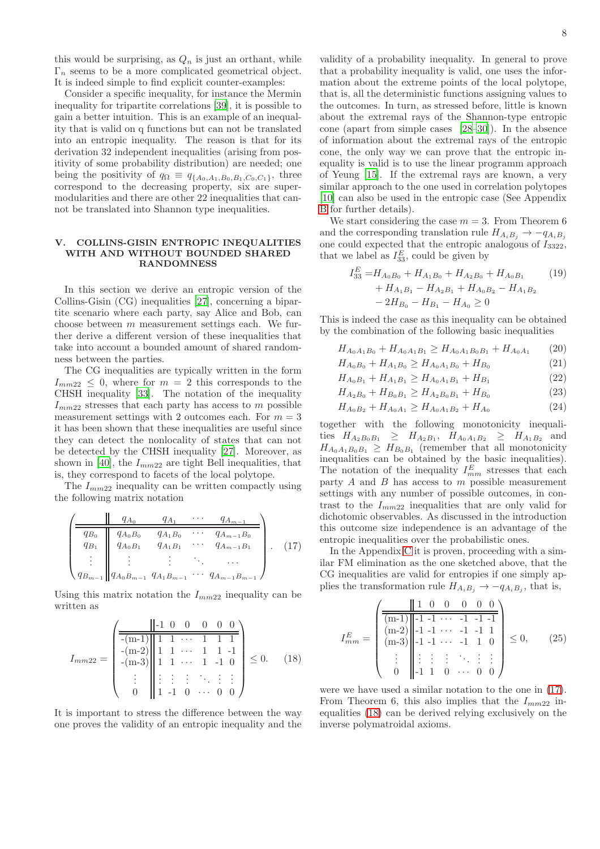this would be surprising, as  $Q_n$  is just an orthant, while  $\Gamma_n$  seems to be a more complicated geometrical object. It is indeed simple to find explicit counter-examples:

Consider a specific inequality, for instance the Mermin inequality for tripartite correlations [\[39\]](#page-14-31), it is possible to gain a better intuition. This is an example of an inequality that is valid on q functions but can not be translated into an entropic inequality. The reason is that for its derivation 32 independent inequalities (arising from positivity of some probability distribution) are needed; one being the positivity of  $q_{\Omega} \equiv q_{\{A_0, A_1, B_0, B_1, C_0, C_1\}}$ , three correspond to the decreasing property, six are supermodularities and there are other 22 inequalities that cannot be translated into Shannon type inequalities.

### <span id="page-7-0"></span>V. COLLINS-GISIN ENTROPIC INEQUALITIES WITH AND WITHOUT BOUNDED SHARED RANDOMNESS

In this section we derive an entropic version of the Collins-Gisin (CG) inequalities [\[27](#page-14-18)], concerning a bipartite scenario where each party, say Alice and Bob, can choose between m measurement settings each. We further derive a different version of these inequalities that take into account a bounded amount of shared randomness between the parties.

The CG inequalities are typically written in the form  $I_{mm22} \leq 0$ , where for  $m = 2$  this corresponds to the CHSH inequality [\[33\]](#page-14-25). The notation of the inequality  $I_{mm22}$  stresses that each party has access to  $m$  possible measurement settings with 2 outcomes each. For  $m = 3$ it has been shown that these inequalities are useful since they can detect the nonlocality of states that can not be detected by the CHSH inequality [\[27\]](#page-14-18). Moreover, as shown in [\[40\]](#page-14-32), the  $I_{mm22}$  are tight Bell inequalities, that is, they correspond to facets of the local polytope.

The  $I_{mm22}$  inequality can be written compactly using the following matrix notation

<span id="page-7-1"></span>
$$
\begin{pmatrix}\nq_{A_0} & q_{A_1} & \cdots & q_{A_{m-1}} \\
\hline\nq_{B_0} & q_{A_0B_0} & q_{A_1B_0} & \cdots & q_{A_{m-1}B_0} \\
q_{B_1} & q_{A_0B_1} & q_{A_1B_1} & \cdots & q_{A_{m-1}B_1} \\
\vdots & \vdots & \vdots & \ddots & \vdots \\
q_{B_{m-1}} & q_{A_0B_{m-1}} & q_{A_1B_{m-1}} & \cdots & q_{A_{m-1}B_{m-1}}\n\end{pmatrix}.
$$
\n(17)

Using this matrix notation the  $I_{mm22}$  inequality can be written as

<span id="page-7-2"></span>
$$
I_{mm22} = \begin{pmatrix} \frac{|-1| & 0 & 0 & 0 & 0 & 0\\ \frac{1}{-(m-1)} & 1 & 1 & \cdots & 1 & 1 & 1\\ -(m-2) & 1 & 1 & \cdots & 1 & 1 & -1\\ -(m-3) & 1 & 1 & \cdots & 1 & -1 & 0\\ \vdots & \vdots & \vdots & \vdots & \ddots & \vdots & \vdots\\ 0 & 1 & -1 & 0 & \cdots & 0 & 0 \end{pmatrix} \leq 0.
$$
 (18)

It is important to stress the difference between the way one proves the validity of an entropic inequality and the validity of a probability inequality. In general to prove that a probability inequality is valid, one uses the information about the extreme points of the local polytope, that is, all the deterministic functions assigning values to the outcomes. In turn, as stressed before, little is known about the extremal rays of the Shannon-type entropic cone (apart from simple cases [\[28](#page-14-21)[–30](#page-14-22)]). In the absence of information about the extremal rays of the entropic cone, the only way we can prove that the entropic inequality is valid is to use the linear programm approach of Yeung [\[15\]](#page-14-12). If the extremal rays are known, a very similar approach to the one used in correlation polytopes [\[10\]](#page-14-7) can also be used in the entropic case (See Appendix [B](#page-15-0) for further details).

We start considering the case  $m = 3$ . From Theorem 6 and the corresponding translation rule  $H_{A_iB_j} \rightarrow -q_{A_iB_j}$ one could expected that the entropic analogous of  $I_{3322}$ , that we label as  $I_{33}^E$ , could be given by

$$
I_{33}^{E} = H_{A_0B_0} + H_{A_1B_0} + H_{A_2B_0} + H_{A_0B_1}
$$
 (19)  
+  $H_{A_1B_1} - H_{A_2B_1} + H_{A_0B_2} - H_{A_1B_2}$   
-  $2H_{B_0} - H_{B_1} - H_{A_0} \ge 0$ 

This is indeed the case as this inequality can be obtained by the combination of the following basic inequalities

$$
H_{A_0A_1B_0} + H_{A_0A_1B_1} \ge H_{A_0A_1B_0B_1} + H_{A_0A_1} \tag{20}
$$

$$
H_{A_0B_0} + H_{A_1B_0} \ge H_{A_0A_1B_0} + H_{B_0}
$$
\n<sup>(21)</sup>

$$
H_{A_0B_1} + H_{A_1B_1} \ge H_{A_0A_1B_1} + H_{B_1}
$$
\n<sup>(22)</sup>

$$
H_{A_2B_0} + H_{B_0B_1} \ge H_{A_2B_0B_1} + H_{B_0}
$$
\n<sup>(23)</sup>

$$
H_{A_0B_2} + H_{A_0A_1} \ge H_{A_0A_1B_2} + H_{A_0}
$$
\n<sup>(24)</sup>

together with the following monotonicity inequalities  $H_{A_2B_0B_1} \geq H_{A_2B_1}$ ,  $H_{A_0A_1B_2} \geq H_{A_1B_2}$  and  $H_{A_0A_1B_0B_1} \geq H_{B_0B_1}$  (remember that all monotonicity inequalities can be obtained by the basic inequalities). The notation of the inequality  $I_{mm}^E$  stresses that each party  $A$  and  $B$  has access to  $m$  possible measurement settings with any number of possible outcomes, in contrast to the  $I_{mm22}$  inequalities that are only valid for dichotomic observables. As discussed in the introduction this outcome size independence is an advantage of the entropic inequalities over the probabilistic ones.

In the Appendix [C](#page-17-0) it is proven, proceeding with a similar FM elimination as the one sketched above, that the CG inequalities are valid for entropies if one simply applies the transformation rule  $H_{A_iB_j} \to -q_{A_iB_j}$ , that is,

<span id="page-7-3"></span>
$$
I_{mm}^{E} = \begin{pmatrix} \frac{1 & 1 & 0 & 0 & 0 & 0 & 0\\ \frac{1}{(m-1)} & -1 & -1 & \cdots & -1 & -1 & -1\\ \frac{1}{(m-2)} & -1 & -1 & \cdots & -1 & -1 & 1\\ \frac{1}{(m-3)} & -1 & -1 & \cdots & -1 & 1 & 0\\ \vdots & \vdots & \vdots & \vdots & \ddots & \vdots & \vdots\\ 0 & -1 & 1 & 0 & \cdots & 0 & 0 \end{pmatrix} \leq 0, \qquad (25)
$$

were we have used a similar notation to the one in [\(17\)](#page-7-1). From Theorem 6, this also implies that the  $I_{mm22}$  inequalities [\(18\)](#page-7-2) can be derived relying exclusively on the inverse polymatroidal axioms.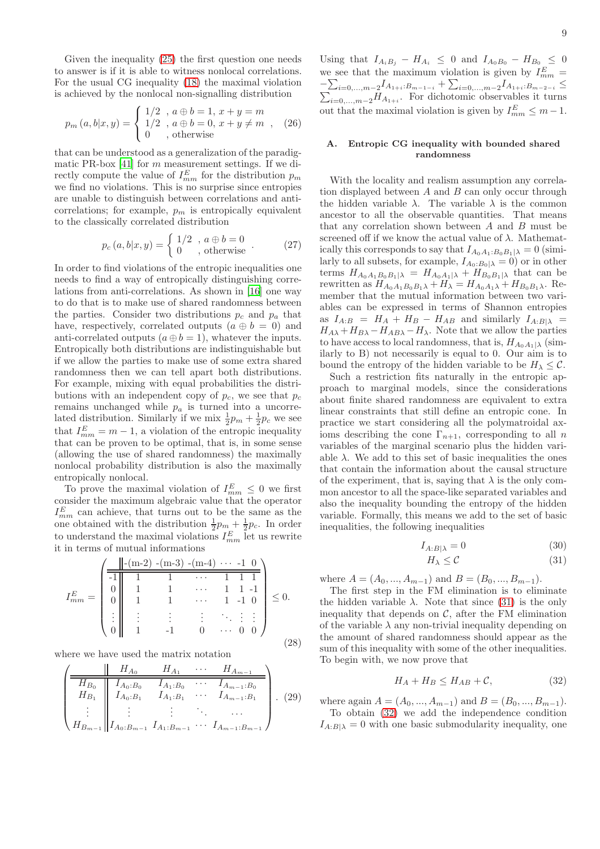Given the inequality [\(25\)](#page-7-3) the first question one needs to answer is if it is able to witness nonlocal correlations. For the usual CG inequality [\(18\)](#page-7-2) the maximal violation is achieved by the nonlocal non-signalling distribution

$$
p_m(a, b|x, y) = \begin{cases} 1/2, & a \oplus b = 1, x + y = m \\ 1/2, & a \oplus b = 0, x + y \neq m \\ 0, & \text{otherwise} \end{cases}
$$
, (26)

that can be understood as a generalization of the paradigmatic PR-box  $[41]$  for m measurement settings. If we directly compute the value of  $I_{mm}^E$  for the distribution  $p_m$ we find no violations. This is no surprise since entropies are unable to distinguish between correlations and anticorrelations; for example,  $p_m$  is entropically equivalent to the classically correlated distribution

$$
p_c(a, b|x, y) = \begin{cases} 1/2, a \oplus b = 0 \\ 0, \text{otherwise} \end{cases}
$$
 (27)

In order to find violations of the entropic inequalities one needs to find a way of entropically distinguishing correlations from anti-correlations. As shown in [\[16\]](#page-14-13) one way to do that is to make use of shared randomness between the parties. Consider two distributions  $p_c$  and  $p_a$  that have, respectively, correlated outputs  $(a \oplus b = 0)$  and anti-correlated outputs  $(a \oplus b = 1)$ , whatever the inputs. Entropically both distributions are indistinguishable but if we allow the parties to make use of some extra shared randomness then we can tell apart both distributions. For example, mixing with equal probabilities the distributions with an independent copy of  $p_c$ , we see that  $p_c$ remains unchanged while  $p_a$  is turned into a uncorrelated distribution. Similarly if we mix  $\frac{1}{2}p_m + \frac{1}{2}p_c$  we see that  $I_{mm}^E = m - 1$ , a violation of the entropic inequality that can be proven to be optimal, that is, in some sense (allowing the use of shared randomness) the maximally nonlocal probability distribution is also the maximally entropically nonlocal.

To prove the maximal violation of  $I_{mm}^E \leq 0$  we first consider the maximum algebraic value that the operator  $I_{mm}^E$  can achieve, that turns out to be the same as the one obtained with the distribution  $\frac{1}{2}p_m + \frac{1}{2}p_c$ . In order to understand the maximal violations  $I_{mm}^E$  let us rewrite it in terms of mutual informations

<span id="page-8-3"></span>
$$
I_{mm}^{E} = \begin{pmatrix} \frac{\| \cdot (\mathbf{m} \cdot \mathbf{2}) \cdot (\mathbf{m} \cdot \mathbf{3}) \cdot (\mathbf{m} \cdot \mathbf{4}) \cdot \cdots \cdot 1 \cdot 0}{1 & 1 & 1 & \cdots & 1 & 1 & 1\\ 0 & 1 & 1 & 1 & \cdots & 1 & 1 & 1\\ 0 & 1 & 1 & \cdots & 1 & -1 & 0\\ \vdots & \vdots & \vdots & \vdots & \ddots & \vdots & \vdots\\ 0 & 1 & -1 & 0 & \cdots & 0 & 0 \end{pmatrix} \leq 0.
$$
\n(28)

where we have used the matrix notation

<span id="page-8-2"></span>
$$
\begin{pmatrix}\nH_{A_0} & H_{A_1} & \cdots & H_{A_{m-1}} \\
\hline\nH_{B_0} & I_{A_0:B_0} & I_{A_1:B_0} & \cdots & I_{A_{m-1}:B_0} \\
H_{B_1} & I_{A_0:B_1} & I_{A_1:B_1} & \cdots & I_{A_{m-1}:B_1} \\
\vdots & \vdots & \vdots & \ddots & \vdots \\
H_{B_{m-1}} & I_{A_0:B_{m-1}} & I_{A_1:B_{m-1}} & \cdots & I_{A_{m-1}:B_{m-1}}\n\end{pmatrix}.
$$
\n(29)

Using that  $I_{A_iB_j} - H_{A_i} \leq 0$  and  $I_{A_0B_0} - H_{B_0} \leq 0$ we see that the maximum violation is given by  $I_{mm}^E =$  $-\sum_{i=0,\dots,m-2} I_{A_{1+i}:B_{m-1-i}} + \sum_{i=0,\dots,m-2} I_{A_{1+i}:B_{m-2-i}} \le$  $\sum_{i=0,\dots,m-2} H_{A_{1+i}}$ . For dichotomic observables it turns out that the maximal violation is given by  $I_{mm}^E \leq m-1$ .

# <span id="page-8-4"></span>A. Entropic CG inequality with bounded shared randomness

With the locality and realism assumption any correlation displayed between  $A$  and  $B$  can only occur through the hidden variable  $\lambda$ . The variable  $\lambda$  is the common ancestor to all the observable quantities. That means that any correlation shown between  $A$  and  $B$  must be screened off if we know the actual value of  $\lambda$ . Mathematically this corresponds to say that  $I_{A_0A_1:B_0B_1|\lambda} = 0$  (similarly to all subsets, for example,  $I_{A_0:B_0|\lambda} = 0$  or in other terms  $H_{A_0A_1B_0B_1|\lambda} = H_{A_0A_1|\lambda} + H_{B_0B_1|\lambda}$  that can be rewritten as  $H_{A_0A_1B_0B_1\lambda} + H_{\lambda} = H_{A_0A_1\lambda} + H_{B_0B_1\lambda}$ . Remember that the mutual information between two variables can be expressed in terms of Shannon entropies as  $I_{A:B} = H_A + H_B - H_{AB}$  and similarly  $I_{A:B|\lambda} =$  $H_{A\lambda}+H_{B\lambda}-H_{AB\lambda}-H_{\lambda}$ . Note that we allow the parties to have access to local randomness, that is,  $H_{A_0A_1|\lambda}$  (similarly to B) not necessarily is equal to 0. Our aim is to bound the entropy of the hidden variable to be  $H_{\lambda} \leq C$ .

Such a restriction fits naturally in the entropic approach to marginal models, since the considerations about finite shared randomness are equivalent to extra linear constraints that still define an entropic cone. In practice we start considering all the polymatroidal axioms describing the cone  $\Gamma_{n+1}$ , corresponding to all n variables of the marginal scenario plus the hidden variable  $\lambda$ . We add to this set of basic inequalities the ones that contain the information about the causal structure of the experiment, that is, saying that  $\lambda$  is the only common ancestor to all the space-like separated variables and also the inequality bounding the entropy of the hidden variable. Formally, this means we add to the set of basic inequalities, the following inequalities

<span id="page-8-0"></span>
$$
I_{A:B|\lambda} = 0 \tag{30}
$$

$$
H_{\lambda} \leq \mathcal{C} \tag{31}
$$

where  $A = (A_0, ..., A_{m-1})$  and  $B = (B_0, ..., B_{m-1})$ .

The first step in the FM elimination is to eliminate the hidden variable  $\lambda$ . Note that since [\(31\)](#page-8-0) is the only inequality that depends on  $\mathcal{C}$ , after the FM elimination of the variable  $\lambda$  any non-trivial inequality depending on the amount of shared randomness should appear as the sum of this inequality with some of the other inequalities. To begin with, we now prove that

<span id="page-8-1"></span>
$$
H_A + H_B \le H_{AB} + C,\tag{32}
$$

where again  $A = (A_0, ..., A_{m-1})$  and  $B = (B_0, ..., B_{m-1})$ . To obtain [\(32\)](#page-8-1) we add the independence condition

 $I_{A:B|\lambda} = 0$  with one basic submodularity inequality, one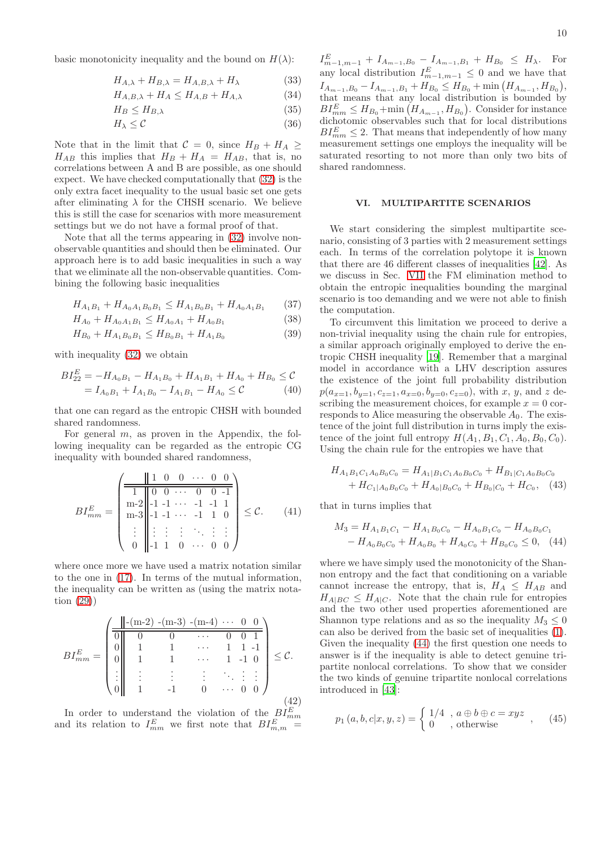basic monotonicity inequality and the bound on  $H(\lambda)$ :

$$
H_{A,\lambda} + H_{B,\lambda} = H_{A,B,\lambda} + H_{\lambda}
$$
 (33)

$$
H_{A,B,\lambda} + H_A \le H_{A,B} + H_{A,\lambda} \tag{34}
$$

$$
H_B \le H_{B,\lambda} \tag{35}
$$

$$
H_{\lambda} \leq \mathcal{C} \tag{36}
$$

Note that in the limit that  $C = 0$ , since  $H_B + H_A \geq$  $H_{AB}$  this implies that  $H_B + H_A = H_{AB}$ , that is, no correlations between A and B are possible, as one should expect. We have checked computationally that [\(32\)](#page-8-1) is the only extra facet inequality to the usual basic set one gets after eliminating  $\lambda$  for the CHSH scenario. We believe this is still the case for scenarios with more measurement settings but we do not have a formal proof of that.

Note that all the terms appearing in [\(32\)](#page-8-1) involve nonobservable quantities and should then be eliminated. Our approach here is to add basic inequalities in such a way that we eliminate all the non-observable quantities. Combining the following basic inequalities

$$
H_{A_1B_1} + H_{A_0A_1B_0B_1} \le H_{A_1B_0B_1} + H_{A_0A_1B_1} \tag{37}
$$

$$
H_{A_0} + H_{A_0A_1B_1} \le H_{A_0A_1} + H_{A_0B_1}
$$
\n(38)

$$
H_{B_0} + H_{A_1 B_0 B_1} \le H_{B_0 B_1} + H_{A_1 B_0} \tag{39}
$$

with inequality  $(32)$  we obtain

$$
BI_{22}^{E} = -H_{A_0B_1} - H_{A_1B_0} + H_{A_1B_1} + H_{A_0} + H_{B_0} \le C
$$
  
=  $I_{A_0B_1} + I_{A_1B_0} - I_{A_1B_1} - H_{A_0} \le C$  (40)

that one can regard as the entropic CHSH with bounded shared randomness.

For general  $m$ , as proven in the Appendix, the following inequality can be regarded as the entropic CG inequality with bounded shared randomness,

<span id="page-9-3"></span>
$$
BI_{mm}^{E} = \begin{pmatrix} 1 & 0 & 0 & \cdots & 0 & 0 \\ \hline 1 & 0 & 0 & \cdots & 0 & 0 & -1 \\ m-2 & -1 & -1 & \cdots & -1 & -1 & 1 \\ m-3 & -1 & -1 & \cdots & -1 & 1 & 0 \\ \vdots & \vdots & \vdots & \ddots & \vdots & \vdots \\ 0 & -1 & 1 & 0 & \cdots & 0 & 0 \end{pmatrix} \leq C.
$$
 (41)

where once more we have used a matrix notation similar to the one in [\(17\)](#page-7-1). In terms of the mutual information, the inequality can be written as (using the matrix notation [\(29\)](#page-8-2))

$$
BI_{mm}^{E} = \begin{pmatrix} \frac{(-\text{m-2}) - (-\text{m-3}) - (-\text{m-4}) \cdots 0 & 0}{0 & 0 & 0 & \cdots & 0 & 0 & 1\\ 0 & 1 & 1 & \cdots & 1 & 1 & -1 & 0\\ 0 & 1 & 1 & \cdots & 1 & -1 & 0 & \cdots & 0\\ \vdots & \vdots & \vdots & \vdots & \ddots & \vdots & \vdots & \vdots\\ 0 & 1 & -1 & 0 & \cdots & 0 & 0 \end{pmatrix} \leq C.
$$
 (42)

In order to understand the violation of the  $BI_{mm}^E$ and its relation to  $I_{mm}^E$  we first note that  $BI_{m,m}^E =$ 

 $I_{m-1,m-1}^E + I_{A_{m-1},B_0} - I_{A_{m-1},B_1} + H_{B_0} \leq H_{\lambda}$ . For any local distribution  $I_{m-1,m-1}^E \leq 0$  and we have that  $I_{A_{m-1},B_0} - I_{A_{m-1},B_1} + H_{B_0} \leq H_{B_0} + \min\left(H_{A_{m-1}},H_{B_0}\right),$ that means that any local distribution is bounded by  $BI_{mm}^E \leq H_{B_0} + \min (H_{A_{m-1}}, H_{B_0})$ . Consider for instance dichotomic observables such that for local distributions  $BI_{mm}^E \leq 2$ . That means that independently of how many measurement settings one employs the inequality will be saturated resorting to not more than only two bits of shared randomness.

# <span id="page-9-0"></span>VI. MULTIPARTITE SCENARIOS

We start considering the simplest multipartite scenario, consisting of 3 parties with 2 measurement settings each. In terms of the correlation polytope it is known that there are 46 different classes of inequalities [\[42\]](#page-14-34). As we discuss in Sec. [VII](#page-10-0) the FM elimination method to obtain the entropic inequalities bounding the marginal scenario is too demanding and we were not able to finish the computation.

To circumvent this limitation we proceed to derive a non-trivial inequality using the chain rule for entropies, a similar approach originally employed to derive the entropic CHSH inequality [\[19\]](#page-14-16). Remember that a marginal model in accordance with a LHV description assures the existence of the joint full probability distribution  $p(a_{x=1}, b_{y=1}, c_{z=1}, a_{x=0}, b_{y=0}, c_{z=0})$ , with x, y, and z describing the measurement choices, for example  $x = 0$  corresponds to Alice measuring the observable  $A_0$ . The existence of the joint full distribution in turns imply the existence of the joint full entropy  $H(A_1, B_1, C_1, A_0, B_0, C_0)$ . Using the chain rule for the entropies we have that

$$
H_{A_1B_1C_1A_0B_0C_0} = H_{A_1|B_1C_1A_0B_0C_0} + H_{B_1|C_1A_0B_0C_0}
$$
  
+  $H_{C_1|A_0B_0C_0} + H_{A_0|B_0C_0} + H_{B_0|C_0} + H_{C_0}$ , (43)

that in turns implies that

<span id="page-9-1"></span>
$$
M_3 = H_{A_1B_1C_1} - H_{A_1B_0C_0} - H_{A_0B_1C_0} - H_{A_0B_0C_1} - H_{A_0B_0C_0} + H_{A_0B_0} + H_{A_0C_0} + H_{B_0C_0} \le 0, \quad (44)
$$

where we have simply used the monotonicity of the Shannon entropy and the fact that conditioning on a variable cannot increase the entropy, that is,  $H_A \leq H_{AB}$  and  $H_{A|BC} \leq H_{A|C}$ . Note that the chain rule for entropies and the two other used properties aforementioned are Shannon type relations and as so the inequality  $M_3 \leq 0$ can also be derived from the basic set of inequalities [\(1\)](#page-2-0). Given the inequality [\(44\)](#page-9-1) the first question one needs to answer is if the inequality is able to detect genuine tripartite nonlocal correlations. To show that we consider the two kinds of genuine tripartite nonlocal correlations introduced in [\[43](#page-14-35)]:

<span id="page-9-2"></span>
$$
p_1(a, b, c|x, y, z) = \begin{cases} 1/4, & a \oplus b \oplus c = xyz \\ 0, & \text{otherwise} \end{cases}, \quad (45)
$$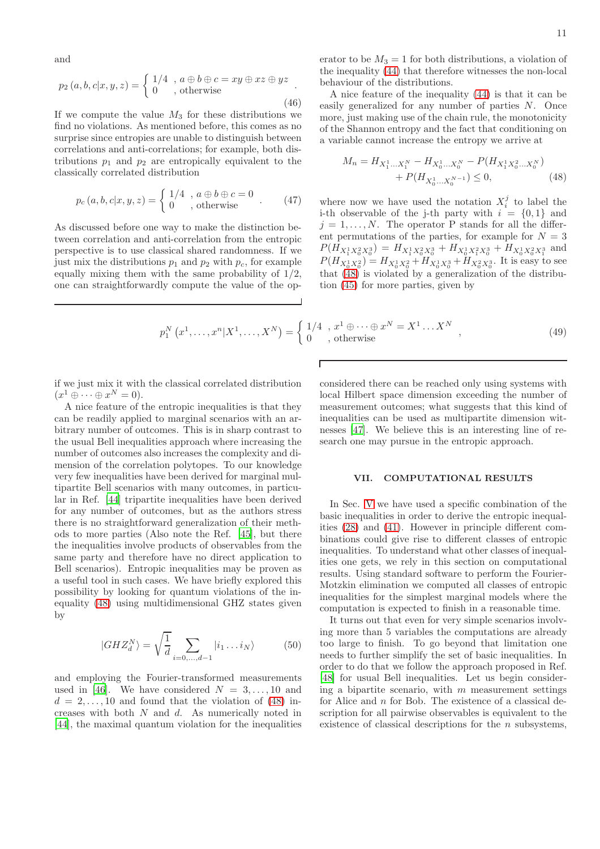and

$$
p_2(a, b, c|x, y, z) = \begin{cases} 1/4, & a \oplus b \oplus c = xy \oplus xz \oplus yz \\ 0, & \text{otherwise} \end{cases}.
$$
\n(46)

If we compute the value  $M_3$  for these distributions we find no violations. As mentioned before, this comes as no surprise since entropies are unable to distinguish between correlations and anti-correlations; for example, both distributions  $p_1$  and  $p_2$  are entropically equivalent to the classically correlated distribution

$$
p_c(a, b, c|x, y, z) = \begin{cases} 1/4, & a \oplus b \oplus c = 0 \\ 0, & \text{otherwise} \end{cases}
$$
 (47)

As discussed before one way to make the distinction between correlation and anti-correlation from the entropic perspective is to use classical shared randomness. If we just mix the distributions  $p_1$  and  $p_2$  with  $p_c$ , for example equally mixing them with the same probability of  $1/2$ , one can straightforwardly compute the value of the operator to be  $M_3 = 1$  for both distributions, a violation of the inequality [\(44\)](#page-9-1) that therefore witnesses the non-local behaviour of the distributions.

A nice feature of the inequality [\(44\)](#page-9-1) is that it can be easily generalized for any number of parties N. Once more, just making use of the chain rule, the monotonicity of the Shannon entropy and the fact that conditioning on a variable cannot increase the entropy we arrive at

<span id="page-10-1"></span>
$$
M_n = H_{X_1^1...X_1^N} - H_{X_0^1...X_0^N} - P(H_{X_1^1X_0^2...X_0^N})
$$
  
+  $P(H_{X_0^1...X_0^{N-1}}) \le 0,$  (48)

where now we have used the notation  $X_i^j$  to label the i-th observable of the j-th party with  $i = \{0, 1\}$  and  $j = 1, \ldots, N$ . The operator P stands for all the different permutations of the parties, for example for  $N = 3$  $P(H_{X_1^1X_0^2X_0^3}) = H_{X_1^1X_0^2X_0^3} + H_{X_0^1X_1^2X_0^3} + H_{X_0^1X_0^2X_1^3}$  and  $P(H_{X_0^1X_0^2}) = H_{X_0^1X_0^2} + H_{X_0^1X_0^3} + H_{X_0^2X_0^3}$ . It is easy to see that [\(48\)](#page-10-1) is violated by a generalization of the distribution [\(45\)](#page-9-2) for more parties, given by

$$
p_1^N(x^1, ..., x^n | X^1, ..., X^N) = \begin{cases} 1/4, & x^1 \oplus ... \oplus x^N = X^1 ... X^N \\ 0, & \text{otherwise} \end{cases},
$$
 (49)

if we just mix it with the classical correlated distribution  $(x^1 \oplus \cdots \oplus x^N = 0).$ 

A nice feature of the entropic inequalities is that they can be readily applied to marginal scenarios with an arbitrary number of outcomes. This is in sharp contrast to the usual Bell inequalities approach where increasing the number of outcomes also increases the complexity and dimension of the correlation polytopes. To our knowledge very few inequalities have been derived for marginal multipartite Bell scenarios with many outcomes, in particular in Ref. [\[44](#page-14-36)] tripartite inequalities have been derived for any number of outcomes, but as the authors stress there is no straightforward generalization of their methods to more parties (Also note the Ref. [\[45\]](#page-14-37), but there the inequalities involve products of observables from the same party and therefore have no direct application to Bell scenarios). Entropic inequalities may be proven as a useful tool in such cases. We have briefly explored this possibility by looking for quantum violations of the inequality [\(48\)](#page-10-1) using multidimensional GHZ states given by

$$
|GHZ_d^N\rangle = \sqrt{\frac{1}{d}} \sum_{i=0,\dots,d-1} |i_1 \dots i_N\rangle \tag{50}
$$

and employing the Fourier-transformed measurements used in [\[46\]](#page-14-38). We have considered  $N = 3, \ldots, 10$  and  $d = 2, \ldots, 10$  and found that the violation of [\(48\)](#page-10-1) increases with both N and d. As numerically noted in [\[44\]](#page-14-36), the maximal quantum violation for the inequalities considered there can be reached only using systems with local Hilbert space dimension exceeding the number of measurement outcomes; what suggests that this kind of inequalities can be used as multipartite dimension witnesses [\[47\]](#page-14-39). We believe this is an interesting line of research one may pursue in the entropic approach.

### <span id="page-10-0"></span>VII. COMPUTATIONAL RESULTS

In Sec. [V](#page-7-0) we have used a specific combination of the basic inequalities in order to derive the entropic inequalities [\(28\)](#page-8-3) and [\(41\)](#page-9-3). However in principle different combinations could give rise to different classes of entropic inequalities. To understand what other classes of inequalities one gets, we rely in this section on computational results. Using standard software to perform the Fourier-Motzkin elimination we computed all classes of entropic inequalities for the simplest marginal models where the computation is expected to finish in a reasonable time.

It turns out that even for very simple scenarios involving more than 5 variables the computations are already too large to finish. To go beyond that limitation one needs to further simplify the set of basic inequalities. In order to do that we follow the approach proposed in Ref. [\[48\]](#page-14-40) for usual Bell inequalities. Let us begin considering a bipartite scenario, with  $m$  measurement settings for Alice and  $n$  for Bob. The existence of a classical description for all pairwise observables is equivalent to the existence of classical descriptions for the  $n$  subsystems,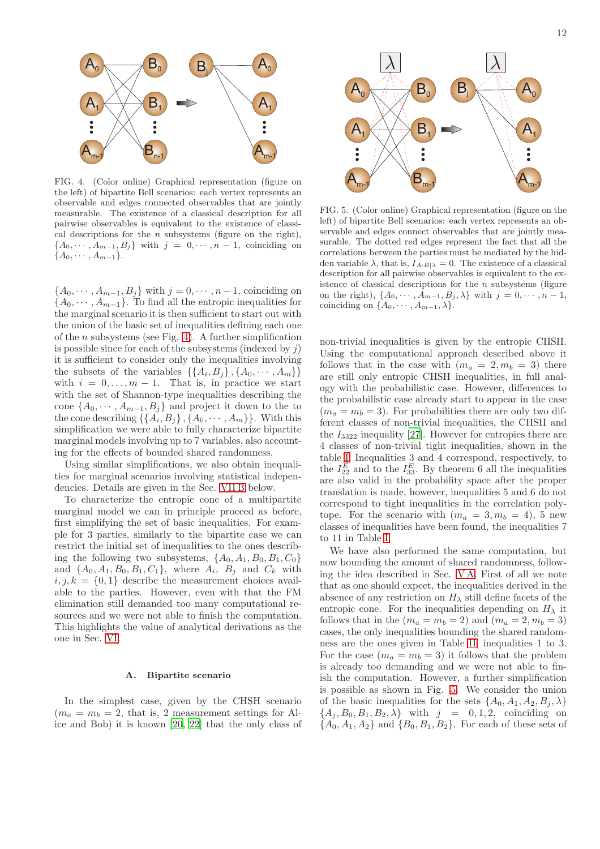

<span id="page-11-0"></span>FIG. 4. (Color online) Graphical representation (figure on the left) of bipartite Bell scenarios: each vertex represents an observable and edges connected observables that are jointly measurable. The existence of a classical description for all pairwise observables is equivalent to the existence of classical descriptions for the  $n$  subsystems (figure on the right),  ${A_0, \dots, A_{m-1}, B_j}$  with  $j = 0, \dots, n-1$ , coinciding on  ${A_0, \cdots, A_{m-1}}.$ 

 $\{A_0, \dots, A_{m-1}, B_j\}$  with  $j = 0, \dots, n-1$ , coinciding on  ${A_0, \dots, A_{m-1}}$ . To find all the entropic inequalities for the marginal scenario it is then sufficient to start out with the union of the basic set of inequalities defining each one of the  $n$  subsystems (see Fig. [4\)](#page-11-0). A further simplification is possible since for each of the subsystems (indexed by  $i$ ) it is sufficient to consider only the inequalities involving the subsets of the variables  $\{\{A_i, B_j\}, \{A_0, \cdots, A_m\}\}\$ with  $i = 0, \ldots, m - 1$ . That is, in practice we start with the set of Shannon-type inequalities describing the cone  $\{A_0, \dots, A_{m-1}, B_j\}$  and project it down to the to the cone describing  $\{\{A_i, B_j\}, \{A_0, \cdots, A_m\}\}\.$  With this simplification we were able to fully characterize bipartite marginal models involving up to 7 variables, also accounting for the effects of bounded shared randomness.

Using similar simplifications, we also obtain inequalities for marginal scenarios involving statistical independencies. Details are given in the Sec. [VII B](#page-12-0) below.

To characterize the entropic cone of a multipartite marginal model we can in principle proceed as before, first simplifying the set of basic inequalities. For example for 3 parties, similarly to the bipartite case we can restrict the initial set of inequalities to the ones describing the following two subsystems,  $\{A_0, A_1, B_0, B_1, C_0\}$ and  $\{A_0, A_1, B_0, B_1, C_1\}$ , where  $A_i$ ,  $B_j$  and  $C_k$  with  $i, j, k = \{0, 1\}$  describe the measurement choices available to the parties. However, even with that the FM elimination still demanded too many computational resources and we were not able to finish the computation. This highlights the value of analytical derivations as the one in Sec. [VI.](#page-9-0)

### A. Bipartite scenario

In the simplest case, given by the CHSH scenario  $(m_a = m_b = 2,$  that is, 2 measurement settings for Alice and Bob) it is known [\[20](#page-14-19), [22\]](#page-14-20) that the only class of



<span id="page-11-1"></span>FIG. 5. (Color online) Graphical representation (figure on the left) of bipartite Bell scenarios: each vertex represents an observable and edges connect observables that are jointly measurable. The dotted red edges represent the fact that all the correlations between the parties must be mediated by the hidden variable  $\lambda$ , that is,  $I_{A:B|\lambda} = 0$ . The existence of a classical description for all pairwise observables is equivalent to the existence of classical descriptions for the  $n$  subsystems (figure on the right),  $\{A_0, \dots, A_{m-1}, B_j, \lambda\}$  with  $j = 0, \dots, n-1$ , coinciding on  $\{A_0, \cdots, A_{m-1}, \lambda\}$ .

non-trivial inequalities is given by the entropic CHSH. Using the computational approach described above it follows that in the case with  $(m_a = 2, m_b = 3)$  there are still only entropic CHSH inequalities, in full analogy with the probabilistic case. However, differences to the probabilistic case already start to appear in the case  $(m_a = m_b = 3)$ . For probabilities there are only two different classes of non-trivial inequalities, the CHSH and the  $I_{3322}$  inequality [\[27\]](#page-14-18). However for entropies there are 4 classes of non-trivial tight inequalities, shown in the table [I.](#page-16-0) Inequalities 3 and 4 correspond, respectively, to the  $I_{22}^E$  and to the  $I_{33}^E$ . By theorem 6 all the inequalities are also valid in the probability space after the proper translation is made, however, inequalities 5 and 6 do not correspond to tight inequalities in the correlation polytope. For the scenario with  $(m_a = 3, m_b = 4)$ , 5 new classes of inequalities have been found, the inequalities 7 to 11 in Table [I.](#page-16-0)

We have also performed the same computation, but now bounding the amount of shared randomness, following the idea described in Sec. [V A.](#page-8-4) First of all we note that as one should expect, the inequalities derived in the absence of any restriction on  $H_{\lambda}$  still define facets of the entropic cone. For the inequalities depending on  $H_{\lambda}$  it follows that in the  $(m_a = m_b = 2)$  and  $(m_a = 2, m_b = 3)$ cases, the only inequalities bounding the shared randomness are the ones given in Table [II,](#page-16-1) inequalities 1 to 3. For the case  $(m_a = m_b = 3)$  it follows that the problem is already too demanding and we were not able to finish the computation. However, a further simplification is possible as shown in Fig. [5.](#page-11-1) We consider the union of the basic inequalities for the sets  $\{A_0, A_1, A_2, B_i, \lambda\}$  ${A_j, B_0, B_1, B_2, \lambda}$  with  $j = 0, 1, 2$ , coinciding on  ${A_0, A_1, A_2}$  and  ${B_0, B_1, B_2}$ . For each of these sets of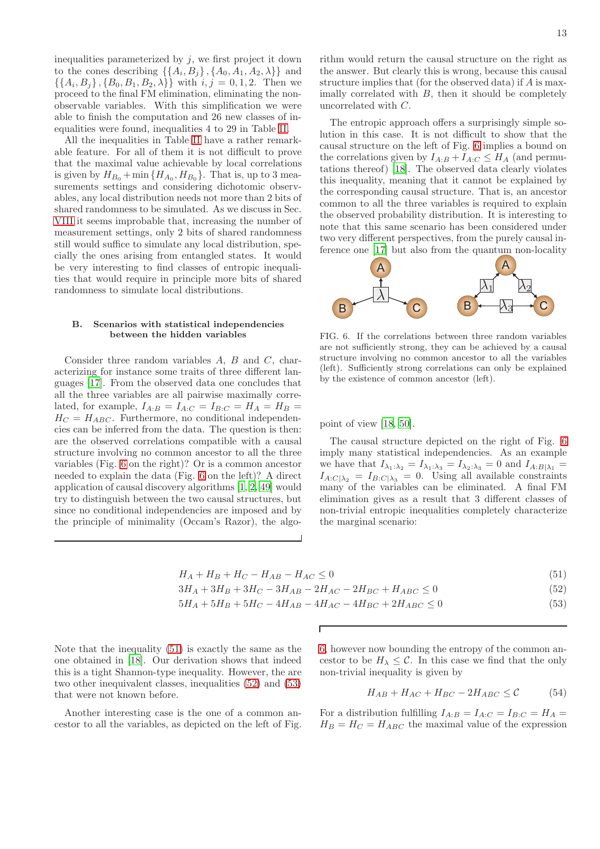inequalities parameterized by  $j$ , we first project it down to the cones describing  $\{\{A_i, B_j\}, \{A_0, A_1, A_2, \lambda\}\}\$ and  $\{\{A_i, B_j\}, \{B_0, B_1, B_2, \lambda\}\}\$  with  $i, j = 0, 1, 2$ . Then we proceed to the final FM elimination, eliminating the nonobservable variables. With this simplification we were able to finish the computation and 26 new classes of inequalities were found, inequalities 4 to 29 in Table [II.](#page-16-1)

All the inequalities in Table [II](#page-16-1) have a rather remarkable feature. For all of them it is not difficult to prove that the maximal value achievable by local correlations is given by  $H_{B_0} + \min\{H_{A_0}, H_{B_0}\}.$  That is, up to 3 measurements settings and considering dichotomic observables, any local distribution needs not more than 2 bits of shared randomness to be simulated. As we discuss in Sec. [VIII](#page-13-0) it seems improbable that, increasing the number of measurement settings, only 2 bits of shared randomness still would suffice to simulate any local distribution, specially the ones arising from entangled states. It would be very interesting to find classes of entropic inequalities that would require in principle more bits of shared randomness to simulate local distributions.

# <span id="page-12-0"></span>B. Scenarios with statistical independencies between the hidden variables

Consider three random variables A, B and C, characterizing for instance some traits of three different languages [\[17](#page-14-14)]. From the observed data one concludes that all the three variables are all pairwise maximally correlated, for example,  $I_{A:B} = I_{A:C} = I_{B:C} = H_A = H_B$  $H_C = H_{ABC}$ . Furthermore, no conditional independencies can be inferred from the data. The question is then: are the observed correlations compatible with a causal structure involving no common ancestor to all the three variables (Fig. [6](#page-12-1) on the right)? Or is a common ancestor needed to explain the data (Fig. [6](#page-12-1) on the left)? A direct application of causal discovery algorithms [\[1,](#page-14-0) [2,](#page-14-1) [49](#page-14-41)] would try to distinguish between the two causal structures, but since no conditional independencies are imposed and by the principle of minimality (Occam's Razor), the algorithm would return the causal structure on the right as the answer. But clearly this is wrong, because this causal structure implies that (for the observed data) if A is maximally correlated with  $B$ , then it should be completely uncorrelated with C.

The entropic approach offers a surprisingly simple solution in this case. It is not difficult to show that the causal structure on the left of Fig. [6](#page-12-1) implies a bound on the correlations given by  $I_{A:B} + I_{A:C} \leq H_A$  (and permutations thereof) [\[18\]](#page-14-15). The observed data clearly violates this inequality, meaning that it cannot be explained by the corresponding causal structure. That is, an ancestor common to all the three variables is required to explain the observed probability distribution. It is interesting to note that this same scenario has been considered under two very different perspectives, from the purely causal inference one [\[17](#page-14-14)] but also from the quantum non-locality



<span id="page-12-1"></span>FIG. 6. If the correlations between three random variables are not sufficiently strong, they can be achieved by a causal structure involving no common ancestor to all the variables (left). Sufficiently strong correlations can only be explained by the existence of common ancestor (left).

# point of view [\[18](#page-14-15), [50](#page-15-1)].

The causal structure depicted on the right of Fig. [6](#page-12-1) imply many statistical independencies. As an example we have that  $I_{\lambda_1:\lambda_2} = I_{\lambda_1:\lambda_3} = I_{\lambda_2:\lambda_3} = 0$  and  $I_{A:B|\lambda_1} =$  $I_{A:C|\lambda_2} = I_{B:C|\lambda_3} = 0$ . Using all available constraints many of the variables can be eliminated. A final FM elimination gives as a result that 3 different classes of non-trivial entropic inequalities completely characterize the marginal scenario:

$$
H_A + H_B + H_C - H_{AB} - H_{AC} \le 0\tag{51}
$$

$$
3H_A + 3H_B + 3H_C - 3H_{AB} - 2H_{AC} - 2H_{BC} + H_{ABC} \le 0
$$
\n<sup>(52)</sup>

$$
5H_A + 5H_B + 5H_C - 4H_{AB} - 4H_{AC} - 4H_{BC} + 2H_{ABC} \le 0
$$
\n<sup>(53)</sup>

Note that the inequality [\(51\)](#page-12-2) is exactly the same as the one obtained in [\[18](#page-14-15)]. Our derivation shows that indeed this is a tight Shannon-type inequality. However, the are two other inequivalent classes, inequalities [\(52\)](#page-12-3) and [\(53\)](#page-12-4) that were not known before.

Another interesting case is the one of a common ancestor to all the variables, as depicted on the left of Fig. [6,](#page-12-1) however now bounding the entropy of the common ancestor to be  $H_{\lambda} \leq C$ . In this case we find that the only non-trivial inequality is given by

<span id="page-12-5"></span><span id="page-12-4"></span><span id="page-12-3"></span><span id="page-12-2"></span>
$$
H_{AB} + H_{AC} + H_{BC} - 2H_{ABC} \leq C \tag{54}
$$

For a distribution fulfilling  $I_{A:B} = I_{A:C} = I_{B:C} = H_A =$  $H_B = H_C = H_{ABC}$  the maximal value of the expression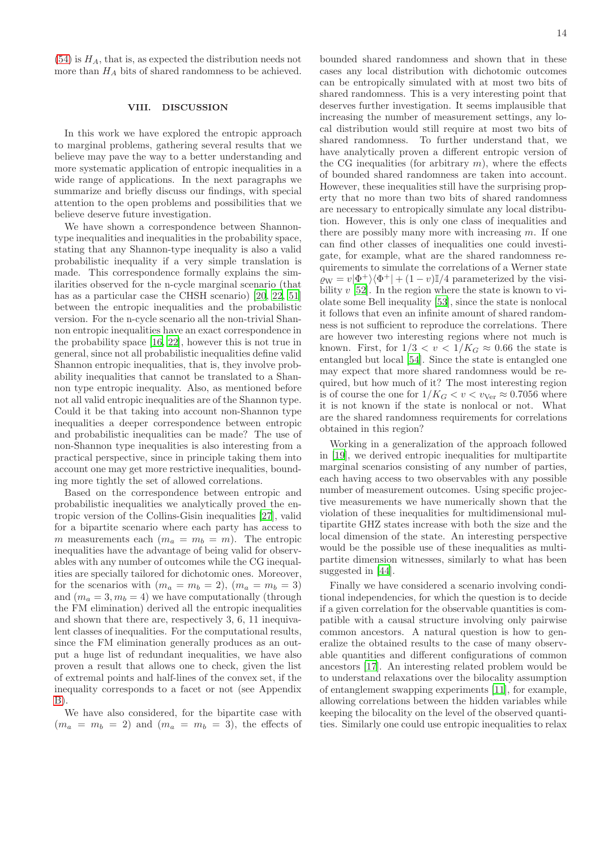$(54)$  is  $H_A$ , that is, as expected the distribution needs not more than  $H_A$  bits of shared randomness to be achieved.

# <span id="page-13-0"></span>VIII. DISCUSSION

In this work we have explored the entropic approach to marginal problems, gathering several results that we believe may pave the way to a better understanding and more systematic application of entropic inequalities in a wide range of applications. In the next paragraphs we summarize and briefly discuss our findings, with special attention to the open problems and possibilities that we believe deserve future investigation.

We have shown a correspondence between Shannontype inequalities and inequalities in the probability space, stating that any Shannon-type inequality is also a valid probabilistic inequality if a very simple translation is made. This correspondence formally explains the similarities observed for the n-cycle marginal scenario (that has as a particular case the CHSH scenario) [\[20,](#page-14-19) [22](#page-14-20), [51](#page-15-2)] between the entropic inequalities and the probabilistic version. For the n-cycle scenario all the non-trivial Shannon entropic inequalities have an exact correspondence in the probability space [\[16,](#page-14-13) [22\]](#page-14-20), however this is not true in general, since not all probabilistic inequalities define valid Shannon entropic inequalities, that is, they involve probability inequalities that cannot be translated to a Shannon type entropic inequality. Also, as mentioned before not all valid entropic inequalities are of the Shannon type. Could it be that taking into account non-Shannon type inequalities a deeper correspondence between entropic and probabilistic inequalities can be made? The use of non-Shannon type inequalities is also interesting from a practical perspective, since in principle taking them into account one may get more restrictive inequalities, bounding more tightly the set of allowed correlations.

Based on the correspondence between entropic and probabilistic inequalities we analytically proved the entropic version of the Collins-Gisin inequalities [\[27\]](#page-14-18), valid for a bipartite scenario where each party has access to m measurements each  $(m_a = m_b = m)$ . The entropic inequalities have the advantage of being valid for observables with any number of outcomes while the CG inequalities are specially tailored for dichotomic ones. Moreover, for the scenarios with  $(m_a = m_b = 2)$ ,  $(m_a = m_b = 3)$ and  $(m_a = 3, m_b = 4)$  we have computationally (through the FM elimination) derived all the entropic inequalities and shown that there are, respectively 3, 6, 11 inequivalent classes of inequalities. For the computational results, since the FM elimination generally produces as an output a huge list of redundant inequalities, we have also proven a result that allows one to check, given the list of extremal points and half-lines of the convex set, if the inequality corresponds to a facet or not (see Appendix [B\)](#page-15-0).

We have also considered, for the bipartite case with  $(m_a = m_b = 2)$  and  $(m_a = m_b = 3)$ , the effects of bounded shared randomness and shown that in these cases any local distribution with dichotomic outcomes can be entropically simulated with at most two bits of shared randomness. This is a very interesting point that deserves further investigation. It seems implausible that increasing the number of measurement settings, any local distribution would still require at most two bits of shared randomness. To further understand that, we have analytically proven a different entropic version of the CG inequalities (for arbitrary  $m$ ), where the effects of bounded shared randomness are taken into account. However, these inequalities still have the surprising property that no more than two bits of shared randomness are necessary to entropically simulate any local distribution. However, this is only one class of inequalities and there are possibly many more with increasing  $m$ . If one can find other classes of inequalities one could investigate, for example, what are the shared randomness requirements to simulate the correlations of a Werner state  $\omega_W = v |\Phi^+ \rangle \langle \Phi^+ | + (1 - v) \mathbb{I} / 4$  parameterized by the visibility  $v$  [\[52](#page-15-3)]. In the region where the state is known to violate some Bell inequality [\[53\]](#page-15-4), since the state is nonlocal it follows that even an infinite amount of shared randomness is not sufficient to reproduce the correlations. There are however two interesting regions where not much is known. First, for  $1/3 < v < 1/K_G \approx 0.66$  the state is entangled but local [\[54\]](#page-15-5). Since the state is entangled one may expect that more shared randomness would be required, but how much of it? The most interesting region is of course the one for  $1/K_G < v < v_{\text{Ver}} \approx 0.7056$  where it is not known if the state is nonlocal or not. What are the shared randomness requirements for correlations obtained in this region?

Working in a generalization of the approach followed in [\[19\]](#page-14-16), we derived entropic inequalities for multipartite marginal scenarios consisting of any number of parties, each having access to two observables with any possible number of measurement outcomes. Using specific projective measurements we have numerically shown that the violation of these inequalities for multidimensional multipartite GHZ states increase with both the size and the local dimension of the state. An interesting perspective would be the possible use of these inequalities as multipartite dimension witnesses, similarly to what has been suggested in [\[44](#page-14-36)].

Finally we have considered a scenario involving conditional independencies, for which the question is to decide if a given correlation for the observable quantities is compatible with a causal structure involving only pairwise common ancestors. A natural question is how to generalize the obtained results to the case of many observable quantities and different configurations of common ancestors [\[17](#page-14-14)]. An interesting related problem would be to understand relaxations over the bilocality assumption of entanglement swapping experiments [\[11](#page-14-8)], for example, allowing correlations between the hidden variables while keeping the bilocality on the level of the observed quantities. Similarly one could use entropic inequalities to relax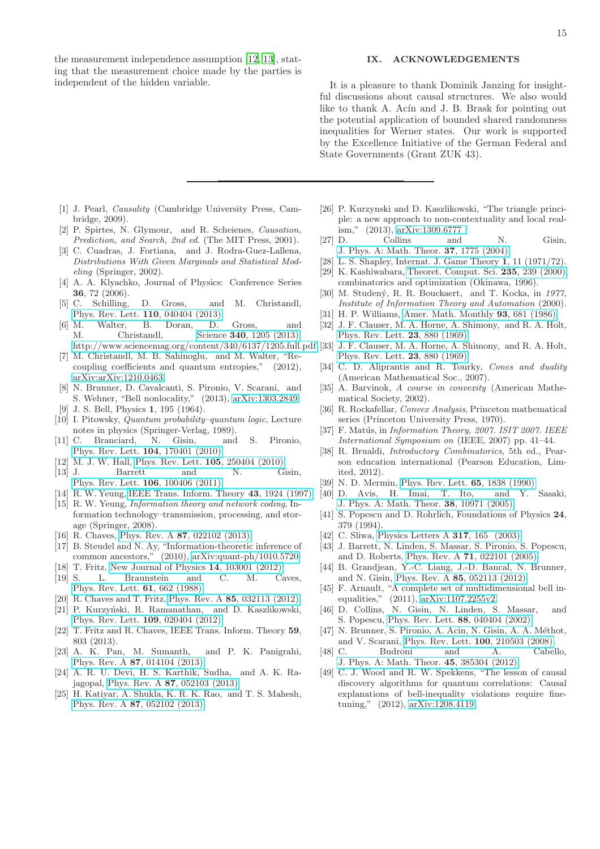the measurement independence assumption [\[12,](#page-14-9) [13\]](#page-14-10), stating that the measurement choice made by the parties is independent of the hidden variable.

# IX. ACKNOWLEDGEMENTS

It is a pleasure to thank Dominik Janzing for insightful discussions about causal structures. We also would like to thank A. Acín and J. B. Brask for pointing out the potential application of bounded shared randomness inequalities for Werner states. Our work is supported by the Excellence Initiative of the German Federal and State Governments (Grant ZUK 43).

- <span id="page-14-0"></span>[1] J. Pearl, Causality (Cambridge University Press, Cambridge, 2009).
- <span id="page-14-1"></span>[2] P. Spirtes, N. Glymour, and R. Scheienes, Causation, Prediction, and Search, 2nd ed. (The MIT Press, 2001).
- <span id="page-14-2"></span>[3] C. Cuadras, J. Fortiana, and J. Rodra-Guez-Lallena, Distributions With Given Marginals and Statistical Modeling (Springer, 2002).
- <span id="page-14-3"></span>[4] A. A. Klyachko, Journal of Physics: Conference Series 36, 72 (2006).
- [5] C. Schilling, D. Gross, and M. Christandl, [Phys. Rev. Lett.](http://dx.doi.org/10.1103/PhysRevLett.110.040404) 110, 040404 (2013).
- [6] M. Walter, B. Doran, D. Gross, and M. Christandl, Science 340[, 1205 \(2013\),](http://dx.doi.org/ 10.1126/science.1232957) [http://www.sciencemag.org/content/340/6137/1205.full.pdf.](http://arxiv.org/abs/http://www.sciencemag.org/content/340/6137/1205.full.pdf)
- <span id="page-14-4"></span>[7] M. Christandl, M. B. Sahinoglu, and M. Walter, "Recoupling coefficients and quantum entropies," (2012), [arXiv:arXiv:1210.0463.](http://arxiv.org/abs/arXiv:1210.0463)
- <span id="page-14-5"></span>[8] N. Brunner, D. Cavalcanti, S. Pironio, V. Scarani, and S. Wehner, "Bell nonlocality," (2013), [arXiv:1303.2849.](http://arxiv.org/abs/1303.2849)
- <span id="page-14-6"></span>[9] J. S. Bell, Physics 1, 195 (1964).
- <span id="page-14-7"></span>[10] I. Pitowsky, Quantum probability–quantum logic, Lecture notes in physics (Springer-Verlag, 1989).
- <span id="page-14-8"></span>[11] C. Branciard, N. Gisin, and S. Pironio, [Phys. Rev. Lett.](http://dx.doi.org/10.1103/PhysRevLett.104.170401) 104, 170401 (2010).
- <span id="page-14-9"></span>[12] M. J. W. Hall, [Phys. Rev. Lett.](http://dx.doi.org/10.1103/PhysRevLett.105.250404) **105**, 250404 (2010).
- <span id="page-14-10"></span>[13] J. Barrett and N. Gisin, [Phys. Rev. Lett.](http://dx.doi.org/10.1103/PhysRevLett.106.100406) 106, 100406 (2011).
- <span id="page-14-11"></span>[14] R. W. Yeung, [IEEE Trans. Inform. Theory](http://dx.doi.org/10.1109/18.641556) 43, 1924 (1997).
- <span id="page-14-12"></span>[15] R. W. Yeung, Information theory and network coding, Information technology–transmission, processing, and storage (Springer, 2008).
- <span id="page-14-13"></span>[16] R. Chaves, Phys. Rev. A **87**[, 022102 \(2013\).](http://dx.doi.org/10.1103/PhysRevA.87.022102)
- <span id="page-14-14"></span>[17] B. Steudel and N. Ay, "Information-theoretic inference of common ancestors," (2010), [arXiv:quant-ph/1010.5720.](http://arxiv.org/abs/1010.5720)
- <span id="page-14-15"></span>[18] T. Fritz, [New Journal of Physics](http://stacks.iop.org/1367-2630/14/i=10/a=103001) 14, 103001 (2012).
- <span id="page-14-16"></span>L. Braunstein and C. M. Caves, [Phys. Rev. Lett.](http://dx.doi.org/10.1103/PhysRevLett.61.662) 61, 662 (1988).
- <span id="page-14-19"></span>[20] R. Chaves and T. Fritz, Phys. Rev. A 85[, 032113 \(2012\).](http://dx.doi.org/10.1103/PhysRevA.85.032113)
- [21] P. Kurzyński, R. Ramanathan, and D. Kaszlikowski, [Phys. Rev. Lett.](http://dx.doi.org/ 10.1103/PhysRevLett.109.020404) 109, 020404 (2012).
- <span id="page-14-20"></span>[22] T. Fritz and R. Chaves, IEEE Trans. Inform. Theory 59, 803 (2013).
- [23] A. K. Pan, M. Sumanth, and P. K. Panigrahi, Phys. Rev. A 87[, 014104 \(2013\).](http://dx.doi.org/10.1103/PhysRevA.87.014104)
- [24] A. R. U. Devi, H. S. Karthik, Sudha, and A. K. Rajagopal, Phys. Rev. A 87[, 052103 \(2013\).](http://dx.doi.org/ 10.1103/PhysRevA.87.052103)
- [25] H. Katiyar, A. Shukla, K. R. K. Rao, and T. S. Mahesh, Phys. Rev. A 87[, 052102 \(2013\).](http://dx.doi.org/10.1103/PhysRevA.87.052102)
- <span id="page-14-17"></span>[26] P. Kurzynski and D. Kaszlikowski, "The triangle principle: a new approach to non-contextuality and local realism," (2013), [arXiv:1309.6777 .](http://arxiv.org/abs/1309.6777 )
- <span id="page-14-18"></span>[27] D. Collins and N. Gisin, [J. Phys. A: Math. Theor.](http://stacks.iop.org/0305-4470/37/i=5/a=021) 37, 1775 (2004).
- <span id="page-14-21"></span>[28] L. S. Shapley, Internat. J. Game Theory 1, 11 (1971/72).
- [29] K. Kashiwabara, [Theoret. Comput. Sci.](http://dx.doi.org/10.1016/S0304-3975(99)00196-6) 235, 239 (2000), combinatorics and optimization (Okinawa, 1996).
- <span id="page-14-22"></span>[30] M. Studený, R. R. Bouckaert, and T. Kocka, in 1977, Institute of Information Theory and Automation (2000).
- <span id="page-14-23"></span>[31] H. P. Williams, [Amer. Math. Monthly](http://dx.doi.org/10.2307/2322281) 93, 681 (1986). [32] J. F. Clauser, M. A. Horne, A. Shimony, and R. A. Holt,
- <span id="page-14-24"></span>[Phys. Rev. Lett.](http://dx.doi.org/10.1103/PhysRevLett.23.880) 23, 880 (1969).
- <span id="page-14-25"></span>J. F. Clauser, M. A. Horne, A. Shimony, and R. A. Holt, [Phys. Rev. Lett.](http://dx.doi.org/10.1103/PhysRevLett.23.880) 23, 880 (1969).
- <span id="page-14-26"></span>[34] C. D. Aliprantis and R. Tourky, Cones and duality (American Mathematical Soc., 2007).
- <span id="page-14-27"></span>[35] A. Barvinok, A course in convexity (American Mathematical Society, 2002).
- <span id="page-14-28"></span>[36] R. Rockafellar, Convex Analysis, Princeton mathematical series (Princeton University Press, 1970).
- <span id="page-14-29"></span>[37] F. Matús, in *Information Theory, 2007. ISIT 2007. IEEE* International Symposium on (IEEE, 2007) pp. 41–44.
- <span id="page-14-30"></span>[38] R. Brualdi, Introductory Combinatorics, 5th ed., Pearson education international (Pearson Education, Limited, 2012).
- <span id="page-14-31"></span>[39] N. D. Mermin, [Phys. Rev. Lett.](http://dx.doi.org/10.1103/PhysRevLett.65.1838) 65, 1838 (1990).
- <span id="page-14-32"></span>[40] D. Avis, H. Imai, T. Ito, and Y. Sasaki, [J. Phys. A: Math. Theor.](http://stacks.iop.org/0305-4470/38/i=50/a=007) 38, 10971 (2005).
- <span id="page-14-33"></span>[41] S. Popescu and D. Rohrlich, Foundations of Physics 24, 379 (1994).
- <span id="page-14-34"></span>[42] C. Sliwa, [Physics Letters A](http://dx.doi.org/10.1016/S0375-9601(03)01115-0) **317**, 165 (2003).
- <span id="page-14-35"></span>[43] J. Barrett, N. Linden, S. Massar, S. Pironio, S. Popescu, and D. Roberts, Phys. Rev. A 71[, 022101 \(2005\).](http://dx.doi.org/ 10.1103/PhysRevA.71.022101)
- <span id="page-14-36"></span>[44] B. Grandjean, Y.-C. Liang, J.-D. Bancal, N. Brunner, and N. Gisin, Phys. Rev. A 85[, 052113 \(2012\).](http://dx.doi.org/10.1103/PhysRevA.85.052113)
- <span id="page-14-37"></span>[45] F. Arnault, "A complete set of multidimensional bell inequalities," (2011), [arXiv:1107.2255v2.](http://arxiv.org/abs/1107.2255v29)
- <span id="page-14-38"></span>[46] D. Collins, N. Gisin, N. Linden, S. Massar, and S. Popescu, [Phys. Rev. Lett.](http://dx.doi.org/ 10.1103/PhysRevLett.88.040404) 88, 040404 (2002).
- <span id="page-14-39"></span>[47] N. Brunner, S. Pironio, A. Acin, N. Gisin, A. A. Méthot, and V. Scarani, [Phys. Rev. Lett.](http://dx.doi.org/ 10.1103/PhysRevLett.100.210503) 100, 210503 (2008).
- <span id="page-14-40"></span>[48] C. Budroni and A. Cabello, [J. Phys. A: Math. Theor.](http://stacks.iop.org/1751-8121/45/i=38/a=385304) 45, 385304 (2012).
- <span id="page-14-41"></span>[49] C. J. Wood and R. W. Spekkens, "The lesson of causal discovery algorithms for quantum correlations: Causal explanations of bell-inequality violations require finetuning," (2012), [arXiv:1208.4119.](http://arxiv.org/abs/1208.4119 )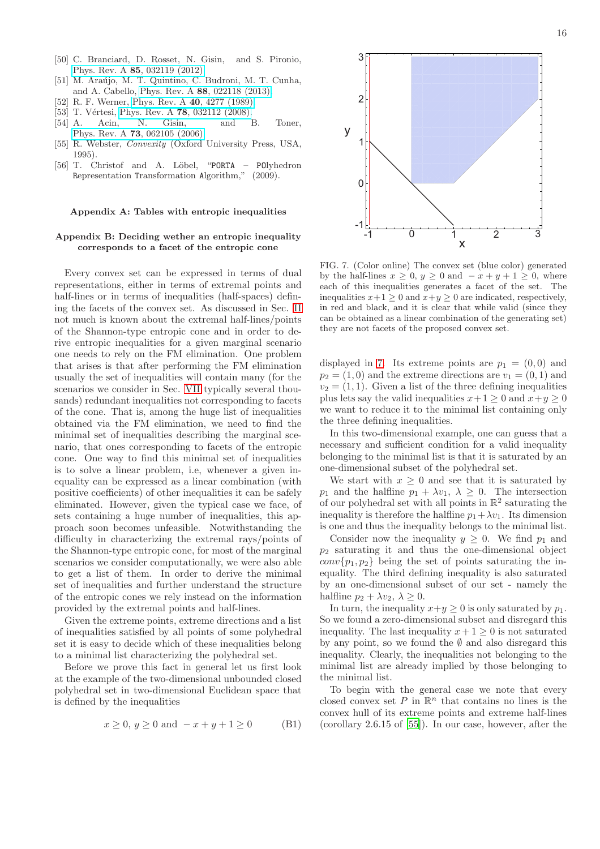- <span id="page-15-1"></span>[50] C. Branciard, D. Rosset, N. Gisin, and S. Pironio, Phys. Rev. A 85[, 032119 \(2012\).](http://dx.doi.org/ 10.1103/PhysRevA.85.032119)
- <span id="page-15-2"></span>[51] M. Araújo, M. T. Quintino, C. Budroni, M. T. Cunha, and A. Cabello, Phys. Rev. A 88[, 022118 \(2013\).](http://dx.doi.org/10.1103/PhysRevA.88.022118)
- <span id="page-15-3"></span>[52] R. F. Werner, [Phys. Rev. A](http://dx.doi.org/10.1103/PhysRevA.40.4277) 40, 4277 (1989).
- <span id="page-15-4"></span>[53] T. Vértesi, Phys. Rev. A **78**[, 032112 \(2008\).](http://dx.doi.org/10.1103/PhysRevA.78.032112)
- <span id="page-15-5"></span>[54] A. Acin, N. Gisin, and B. Toner, Phys. Rev. A 73[, 062105 \(2006\).](http://dx.doi.org/10.1103/PhysRevA.73.062105)
- <span id="page-15-7"></span>[55] R. Webster, Convexity (Oxford University Press, USA, 1995).
- <span id="page-15-8"></span>[56] T. Christof and A. Löbel, "PORTA – POlyhedron Representation Transformation Algorithm," (2009).

### Appendix A: Tables with entropic inequalities

# <span id="page-15-0"></span>Appendix B: Deciding wether an entropic inequality corresponds to a facet of the entropic cone

Every convex set can be expressed in terms of dual representations, either in terms of extremal points and half-lines or in terms of inequalities (half-spaces) defining the facets of the convex set. As discussed in Sec. [II](#page-1-0) not much is known about the extremal half-lines/points of the Shannon-type entropic cone and in order to derive entropic inequalities for a given marginal scenario one needs to rely on the FM elimination. One problem that arises is that after performing the FM elimination usually the set of inequalities will contain many (for the scenarios we consider in Sec. [VII](#page-10-0) typically several thousands) redundant inequalities not corresponding to facets of the cone. That is, among the huge list of inequalities obtained via the FM elimination, we need to find the minimal set of inequalities describing the marginal scenario, that ones corresponding to facets of the entropic cone. One way to find this minimal set of inequalities is to solve a linear problem, i.e, whenever a given inequality can be expressed as a linear combination (with positive coefficients) of other inequalities it can be safely eliminated. However, given the typical case we face, of sets containing a huge number of inequalities, this approach soon becomes unfeasible. Notwithstanding the difficulty in characterizing the extremal rays/points of the Shannon-type entropic cone, for most of the marginal scenarios we consider computationally, we were also able to get a list of them. In order to derive the minimal set of inequalities and further understand the structure of the entropic cones we rely instead on the information provided by the extremal points and half-lines.

Given the extreme points, extreme directions and a list of inequalities satisfied by all points of some polyhedral set it is easy to decide which of these inequalities belong to a minimal list characterizing the polyhedral set.

Before we prove this fact in general let us first look at the example of the two-dimensional unbounded closed polyhedral set in two-dimensional Euclidean space that is defined by the inequalities

$$
x \ge 0, y \ge 0 \text{ and } -x + y + 1 \ge 0
$$
 (B1)



<span id="page-15-6"></span>FIG. 7. (Color online) The convex set (blue color) generated by the half-lines  $x \geq 0$ ,  $y \geq 0$  and  $-x+y+1 \geq 0$ , where each of this inequalities generates a facet of the set. The inequalities  $x+1 \geq 0$  and  $x+y \geq 0$  are indicated, respectively, in red and black, and it is clear that while valid (since they can be obtained as a linear combination of the generating set) they are not facets of the proposed convex set.

displayed in [7.](#page-15-6) Its extreme points are  $p_1 = (0,0)$  and  $p_2 = (1,0)$  and the extreme directions are  $v_1 = (0,1)$  and  $v_2 = (1, 1)$ . Given a list of the three defining inequalities plus lets say the valid inequalities  $x+1 \geq 0$  and  $x+y \geq 0$ we want to reduce it to the minimal list containing only the three defining inequalities.

In this two-dimensional example, one can guess that a necessary and sufficient condition for a valid inequality belonging to the minimal list is that it is saturated by an one-dimensional subset of the polyhedral set.

We start with  $x > 0$  and see that it is saturated by  $p_1$  and the halfline  $p_1 + \lambda v_1$ ,  $\lambda > 0$ . The intersection of our polyhedral set with all points in  $\mathbb{R}^2$  saturating the inequality is therefore the halfline  $p_1 + \lambda v_1$ . Its dimension is one and thus the inequality belongs to the minimal list.

Consider now the inequality  $y \geq 0$ . We find  $p_1$  and  $p_2$  saturating it and thus the one-dimensional object  $conv{p_1, p_2}$  being the set of points saturating the inequality. The third defining inequality is also saturated by an one-dimensional subset of our set - namely the halfline  $p_2 + \lambda v_2, \lambda \geq 0$ .

In turn, the inequality  $x+y \geq 0$  is only saturated by  $p_1$ . So we found a zero-dimensional subset and disregard this inequality. The last inequality  $x + 1 \geq 0$  is not saturated by any point, so we found the  $\emptyset$  and also disregard this inequality. Clearly, the inequalities not belonging to the minimal list are already implied by those belonging to the minimal list.

To begin with the general case we note that every closed convex set  $P$  in  $\mathbb{R}^n$  that contains no lines is the convex hull of its extreme points and extreme half-lines (corollary 2.6.15 of [\[55](#page-15-7)]). In our case, however, after the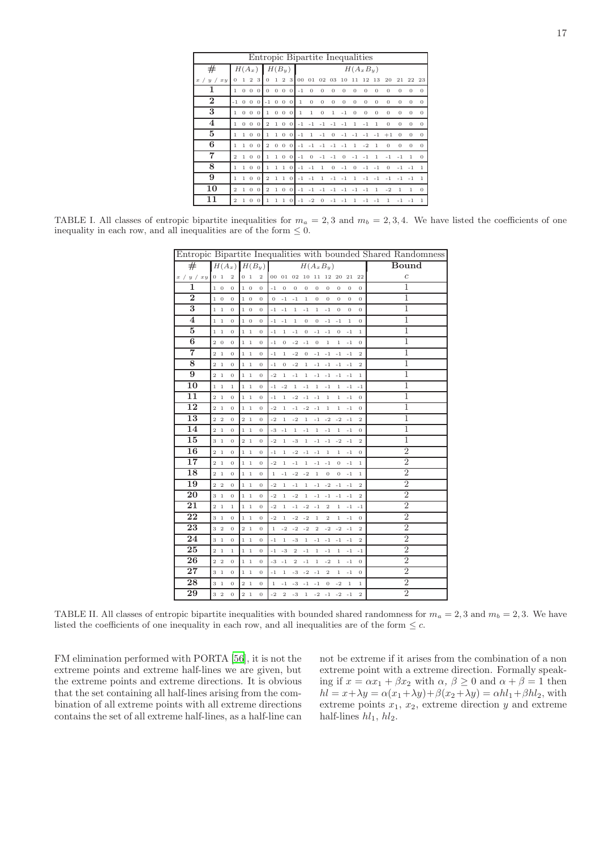| Entropic Bipartite Inequalities                  |                                              |                                               |                                                                                                                                                |  |  |  |  |
|--------------------------------------------------|----------------------------------------------|-----------------------------------------------|------------------------------------------------------------------------------------------------------------------------------------------------|--|--|--|--|
| #                                                | $H(A_x)$                                     | $H(B_u)$                                      | $H(A_x B_y)$                                                                                                                                   |  |  |  |  |
| y /<br>x y<br>$\overline{1}$<br>$\boldsymbol{x}$ | 1 2 3<br>$\Omega$                            |                                               | 0 1 2 3 00 01 02 03 10 11 12 13<br>20<br>21 22 23                                                                                              |  |  |  |  |
| 1                                                | $1 \t0 \t0 \t0$                              | $0\quad 0\quad 0\quad 0\quad 0\quad$          | $-1$<br>$\overline{0}$<br>$\theta$<br>$\theta$<br>$\theta$<br>$\theta$<br>$\theta$<br>$\theta$<br>$\theta$<br>$\theta$<br>$\theta$<br>$\theta$ |  |  |  |  |
| $\bf{2}$                                         | $-1$ 0 0                                     | $0 - 1 0 0$<br>$\overline{0}$                 | $\theta$<br>1<br>$\theta$<br>$\theta$<br>$\theta$<br>$\theta$<br>$\theta$<br>$\theta$<br>$\theta$<br>$\theta$<br>$\theta$<br>$\Omega$          |  |  |  |  |
| 3                                                | $0\quad 0$<br>$\circ$<br>$\mathbf{1}$        | $1\quad 0\quad 0\quad 0$                      | $1 \quad 1$<br>$\overline{0}$<br>$\mathbf{1}$<br>$-1$<br>$\theta$<br>$\theta$<br>$\theta$<br>$\theta$<br>$\theta$<br>$\theta$<br>$\theta$      |  |  |  |  |
| $\overline{\mathbf{4}}$                          | $0\quad 0$<br>$\overline{0}$<br>$\mathbf{1}$ | $1\quad$<br>$\overline{0}$<br>$\overline{2}$  | $-1$ $-1$ $-1$ $-1$ $-1$<br>$\mathbf 1$<br>$-1$<br>$\theta$<br>$\theta$<br>$\theta$<br>$\Omega$<br>1                                           |  |  |  |  |
| 5                                                | $1\quad0\quad0$<br>$\mathbf{1}$              |                                               | $1 \t1 \t0 \t0 \t-1 \t1 \t-1 \t0 \t-1 \t-1 \t-1 \t-1 \t+1$<br>$\theta$<br>$\overline{0}$<br>$\theta$                                           |  |  |  |  |
| 6                                                | $1\quad0\quad0$<br>$\mathbf{1}$              | $0\quad0\quad0$<br>$\overline{2}$             | $-1$ $-1$ $-1$ $-1$ $-1$<br>$-2$<br>$\theta$<br>$\theta$<br>$\theta$<br>$\mathbf{1}$<br>$\overline{0}$<br>$\mathbf{1}$                         |  |  |  |  |
| 7                                                | $1\quad$<br>$\Omega$<br>$\mathcal{D}$        | $1 \quad 0 \quad 0$<br>$\mathbf{1}$           | $\overline{0}$<br>$-1$ $-1$ 0<br>$-1 -1$<br>$-1$<br>$-1$<br>$-1$<br>1<br>$\mathbf{1}$<br>$\Omega$                                              |  |  |  |  |
| 8                                                | $1\quad$<br>$\Omega$<br>$\mathbf{1}$         | $1 \quad 1 \quad 1 \quad 0 \quad -1 \quad -1$ | $\mathbf{1}$<br>$\overline{0}$<br>$-1$<br>$-1 - -1$<br>$-1 - -1$<br>$\overline{1}$<br>$\Omega$<br>$\Omega$                                     |  |  |  |  |
| 9                                                | $1\quad$<br>$\theta$<br>$\mathbf{1}$         | $1\quad1\quad0$<br>$\overline{2}$             | $\overline{1}$                                                                                                                                 |  |  |  |  |
| 10                                               | $1\quad$<br>$\Omega$<br>$\overline{2}$       | $2\quad1\quad0$                               | $0$ -1 -1 -1 -1 -1 -1 -1 -1<br>$\overline{1}$<br>$-2$<br>$\Omega$<br>$\,$ 1 $\,$<br>$\overline{1}$                                             |  |  |  |  |
| 11                                               | $1\quad0\quad0$<br>$\overline{2}$            | $1\quad1\quad0$<br>$\mathbf{1}$               | $-1$ $-2$<br>$\theta$<br>$-1 -1$<br>1<br>$-1 - -1$<br>$\mathbf{1}$<br>$-1$<br>$-1$<br><sup>1</sup>                                             |  |  |  |  |

<span id="page-16-0"></span>TABLE I. All classes of entropic bipartite inequalities for  $m_a = 2, 3$  and  $m_b = 2, 3, 4$ . We have listed the coefficients of one inequality in each row, and all inequalities are of the form  $\leq$  0.

| Entropic Bipartite Inequalities with bounded Shared Randomness |                                                  |                                                       |                                                                                                                                       |                  |  |  |
|----------------------------------------------------------------|--------------------------------------------------|-------------------------------------------------------|---------------------------------------------------------------------------------------------------------------------------------------|------------------|--|--|
| #                                                              | $H(A_x)$                                         | $H(B_y)$                                              | $H(A_xB_y)$                                                                                                                           | <b>Bound</b>     |  |  |
| x /<br>y /<br>x y                                              | 0 <sub>1</sub><br>$\overline{2}$                 | 0 <sub>1</sub><br>$\,2$                               | $00$ $01$ $02$ $10$ $11$ $12$ $20$<br>21<br>22                                                                                        | $\boldsymbol{c}$ |  |  |
| $\mathbf{1}$                                                   | $\mathbf{1}$<br>$\overline{0}$<br>$\overline{0}$ | $1\quad$ 0<br>$\overline{0}$                          | $\overline{0}$<br>$-1$<br>$\overline{0}$<br>$\mathbf 0$<br>$\overline{0}$<br>$\mathbf 0$<br>$\overline{0}$<br>$\mathbf 0$<br>$\sigma$ | $\overline{1}$   |  |  |
| $\overline{2}$                                                 | $\mathbf{1}$<br>$\overline{0}$<br>$\overline{0}$ | $1\quad$<br>$\theta$                                  | $-1$<br>$\theta$<br>$-1$<br>$\overline{0}$<br>$\sigma$<br>$\mathbf{1}$<br>$\theta$<br>$\overline{0}$<br>0                             | $\overline{1}$   |  |  |
| 3                                                              | $\mathbf{1}$<br>$\mathbf{1}$<br>$\overline{0}$   | $\mathbf{1}$<br>$\overline{0}$<br>$\overline{0}$      | $-1$<br>$-1$<br>$\mathbf{1}$<br>$-1$<br>$\mathbf{1}$<br>$-1$<br>$\overline{0}$<br>0<br>$\mathbf 0$                                    | 1                |  |  |
| 4                                                              | $\,1\,$<br>$\overline{1}$<br>0                   | $\mathbf{1}$<br>$\overline{0}$<br>$\mathbf 0$         | $-1$<br>$\,1$<br>$\mathbf 0$<br>$\,1\,$<br>$\mathbf 0$<br>$-1$<br>$\mathbf{0}$<br>$-1$<br>$-1$                                        | $\overline{1}$   |  |  |
| 5                                                              | $\mathbf{1}$<br>$\mathbf{1}$<br>$\overline{0}$   | $\mathbf{1}$<br><sup>1</sup><br>$\overline{0}$        | $-1$<br>$\,1\,$<br>$-1$<br>$-1$<br>$\overline{0}$<br>$-1$<br>$\mathbf{1}$<br>0<br>$-1$                                                | $\overline{1}$   |  |  |
| 6                                                              | $2\quad0$<br>$\sigma$                            | $1\quad 1$<br>$\sigma$                                | $\mathbf 0$<br>$-2$<br>$-1$<br>$-1$<br>$\mathbf{0}$<br>$\mathbf 1$<br>$\mathbf 1$<br>$^{\rm -1}$<br>$\mathbf{O}$                      | $\overline{1}$   |  |  |
| $\overline{7}$                                                 | 2 <sub>1</sub><br>$\sigma$                       | $\,1$<br>$\,1\,$<br>0                                 | $\,1\,$<br>$-2$<br>$\mathbf 0$<br>$-1$<br>$-1$<br>$\overline{2}$<br>$-1$<br>$-1$<br>$-1$                                              | $\overline{1}$   |  |  |
| 8                                                              | $\overline{2}$<br>$\mathbf{1}$<br>$\overline{0}$ | $\mathbf{1}$<br>$\mathbf{1}$<br>$\overline{0}$        | $-1$<br>$\bf{0}$<br>$-2$<br>$\mathbf 1$<br>$-1$<br>$-1$<br>$-1$<br>$\overline{2}$<br>$-1$                                             | $\overline{1}$   |  |  |
| 9                                                              | $\,2$<br>$\overline{1}$<br>$\overline{0}$        | $\mathbf{1}$<br>$\mathbf{1}$<br>$\overline{0}$        | $-2$<br>$\,1\,$<br>$-1$<br>$\,1$<br>$-1$<br>$-1$<br>$-1$<br>$-1$<br>$\mathbf{1}$                                                      | $\overline{1}$   |  |  |
| 10                                                             | $\,1\,$<br>$\overline{1}$<br>$\mathbf{1}$        | $\mathbf{1}$<br>$\mathbf{1}$<br>$\bf{0}$              | $-1$<br>$-2$<br>$\,1\,$<br>$-1$<br>$\,1\,$<br>$\,1\,$<br>$-1$<br>$-1$<br>$-1$                                                         | $\overline{1}$   |  |  |
| $\overline{11}$                                                | $\overline{2}$<br>$\mathbf{1}$<br>$\overline{0}$ | $\mathbf{1}$<br>$\mathbf{1}$<br>$\overline{0}$        | $\,1\,$<br>$-1$<br>$-1$<br>$-2$<br>$-1$<br>$\mathbf 1$<br>$\mathbf 1$<br>$-1$<br>$\overline{0}$                                       | $\overline{1}$   |  |  |
| 12                                                             | $\,2$<br><sup>1</sup><br>$\sigma$                | $\mathbf{1}$<br>$\mathbf{1}$<br>0                     | $-2$<br>$-2$<br>$1\,$<br>$-1$<br>$-1$<br>$\mathbf 1$<br>$\mathbf 1$<br>$-1$<br>$\mathbf{O}$                                           | $\overline{1}$   |  |  |
| 13                                                             | 2 <sub>2</sub><br>$\sigma$                       | 2 <sub>1</sub><br>0                                   | $-2$<br>$\,1\,$<br>$-2$<br>$\,1\,$<br>$-1$<br>$-2$<br>$-2$<br>$\overline{2}$<br>$-1$                                                  | $\overline{1}$   |  |  |
| 14                                                             | $\overline{2}$<br>$\mathbf{1}$<br>$\sigma$       | $\mathbf{1}$<br>$\mathbf{1}$<br>$\overline{0}$        | $-1$<br>$-1$<br>$\mathbf{1}$<br>$-3$<br>$\mathbf{1}$<br>$-1$<br>$\mathbf{1}$<br>$-1$<br>$\overline{0}$                                | $\overline{1}$   |  |  |
| 15                                                             | 3<br>$\mathbf{1}$<br>$\overline{0}$              | $\overline{2}$<br>$\mathbf{1}$<br>$\overline{0}$      | $\mathbf{1}$<br>$-3$<br>$-2$<br>$\mathbf{1}$<br>$-1$<br>$-1$<br>$-2$<br>$-1$<br>$\overline{2}$                                        | $\overline{1}$   |  |  |
| 16                                                             | $\overline{2}$<br><sup>1</sup><br>$\overline{0}$ | $\mathbf{1}$<br>$\mathbf{1}$<br>$\overline{0}$        | $-1$<br>$-1$<br>$\mathbf{1}$<br>$-2$<br>$-1$<br>$\mathbf{1}$<br>$\mathbf{1}$<br>$-1$<br>$\overline{0}$                                | $\overline{2}$   |  |  |
| $\overline{17}$                                                | $\,2$<br>$\overline{1}$<br>$\overline{0}$        | $\mathbf{1}$<br>$\,1\,$<br>$\overline{0}$             | $-2$<br>$\,1\,$<br>$-1$<br>$\mathbf 1$<br>$-1$<br>$^{\rm -1}$<br>$\overline{0}$<br>$-1$<br>$\mathbf{1}$                               | $\overline{2}$   |  |  |
| 18                                                             | $\overline{2}$<br>$\mathbf{1}$<br>$\overline{0}$ | $\mathbf{1}$<br>$\mathbf{1}$<br>$\overline{0}$        | $-1$<br>$-2$<br>$-2$<br>$\mathbf{1}$<br>$\mathbf{1}$<br>$\overline{0}$<br>$\overline{0}$<br>$\mathbf{1}$<br>$-1$                      | $\overline{2}$   |  |  |
| 19                                                             | $\overline{2}$<br>$\overline{2}$<br>$\sigma$     | $\mathbf{1}$<br>$\mathbf{1}$<br>$\overline{0}$        | $-2$<br>$\mathbf{1}$<br>$-1$<br>$\mathbf{1}$<br>$^{\rm -1}$<br>$-2$<br>$-1$<br>$-1$<br>$\overline{2}$                                 | $\overline{2}$   |  |  |
| 20                                                             | 3<br>$\mathbf{1}$<br>$\overline{0}$              | $\mathbf{1}$<br>$\,1\,$<br>$\theta$                   | $\mathbf{1}$<br>$-2$<br>$\mathbf{1}$<br>$-2$<br>$-1$<br>$-1$<br>$-1$<br>$-1$<br>$\overline{2}$                                        | $\overline{2}$   |  |  |
| $\overline{21}$                                                | $\overline{2}$<br>$\mathbf{1}$<br>$\mathbf{1}$   | $\mathbf{1}$<br>$\mathbf{1}$<br>$\overline{0}$        | $-2$<br>$\mathbf{1}$<br>$-2$<br>$-1$<br>$-1$<br>$\overline{2}$<br>$\mathbf{1}$<br>$-1$<br>$-1$                                        | $\overline{2}$   |  |  |
| 22                                                             | 3<br>$\mathbf{1}$<br>$\overline{0}$              | $\mathbf{1}$<br>$\mathbf{1}$<br>$\overline{0}$        | $-2$<br>$\mathbf{1}$<br>$-2$<br>$-2$<br>$\mathbf{1}$<br>$\overline{\mathbf{2}}$<br>$\mathbf{1}$<br>$-1$<br>$\theta$                   | $\overline{2}$   |  |  |
| 23                                                             | 3<br>$\overline{2}$<br>$\sigma$                  | $\overline{2}$<br>$\mathbf{1}$<br>$\bf{0}$            | $-2$<br>$-2$<br>$^{\rm -2}$<br>$\overline{2}$<br>$-2$<br>$-2$<br>$\overline{2}$<br>$1\,$<br>$-1$                                      | $\overline{2}$   |  |  |
| $\overline{24}$                                                | 3<br>$\mathbf{1}$<br>$\overline{0}$              | $\mathbf{1}$<br>$\overline{0}$<br>$\mathbf{1}$        | $-1$<br>$\,1\,$<br>$-3$<br>$\mathbf 1$<br>$-1$<br>$-1$<br>$-1$<br>$-1$<br>$\overline{2}$                                              | $\overline{2}$   |  |  |
| 25                                                             | $\,2$<br><sup>1</sup><br>$\mathbf{1}$            | $1\quad 1$<br>$\overline{0}$                          | $-3$<br>$\overline{2}$<br>$-1$<br>$-1$<br>$\,1$<br>$-1$<br>$1\,$<br>$^{\rm -1}$<br>$-1$                                               | $\overline{2}$   |  |  |
| 26                                                             | 2 <sub>2</sub><br>$\sigma$                       | $\,1\,$<br>$\mathbf{1}$<br>0                          | $-3$<br>$-1$<br>$\overline{2}$<br>$-1$<br>$\mathbf{1}$<br>$-2$<br>$\mathbf 1$<br>$-1$<br>$\mathbf{O}$                                 | $\overline{2}$   |  |  |
| 27                                                             | 3<br>$\overline{0}$<br>$\mathbf{1}$              | $\mathbf{1}$<br>$\mathbf{1}$<br>$\overline{0}$        | $\,1\,$<br>$-1$<br>-3<br>$-2$<br>$-1$<br>$\overline{\mathbf{2}}$<br>$\mathbf{1}$<br>$-1$<br>$\overline{0}$                            | $\overline{2}$   |  |  |
| 28                                                             | 3<br>$\mathbf{1}$<br>0                           | $\overline{\mathbf{2}}$<br>$\mathbf{1}$<br>0          | $\,1\,$<br>$-1$<br>$-3$<br>$-1$<br>$-1$<br>0<br>$-2$<br>$\,1$<br>$\mathbf{1}$                                                         | $\overline{2}$   |  |  |
| 29                                                             | 3<br>$\overline{2}$<br>$\mathbf 0$               | $\overline{\mathbf{2}}$<br>$\overline{1}$<br>$\bf{0}$ | $-2$<br>$\,2$<br>$-2$<br>$\overline{2}$<br>$-3$<br>$\mathbf{1}$<br>$^{\rm -1}$<br>$-2$<br>$-1$                                        | $\overline{2}$   |  |  |

<span id="page-16-1"></span>TABLE II. All classes of entropic bipartite inequalities with bounded shared randomness for  $m_a = 2, 3$  and  $m_b = 2, 3$ . We have listed the coefficients of one inequality in each row, and all inequalities are of the form  $\leq c$ .

FM elimination performed with PORTA [\[56\]](#page-15-8), it is not the extreme points and extreme half-lines we are given, but the extreme points and extreme directions. It is obvious that the set containing all half-lines arising from the combination of all extreme points with all extreme directions contains the set of all extreme half-lines, as a half-line can

not be extreme if it arises from the combination of a non extreme point with a extreme direction. Formally speaking if  $x = \alpha x_1 + \beta x_2$  with  $\alpha, \beta \ge 0$  and  $\alpha + \beta = 1$  then  $hl = x + \lambda y = \alpha(x_1 + \lambda y) + \beta(x_2 + \lambda y) = \alpha h l_1 + \beta h l_2$ , with extreme points  $x_1, x_2$ , extreme direction y and extreme half-lines  $hl_1$ ,  $hl_2$ .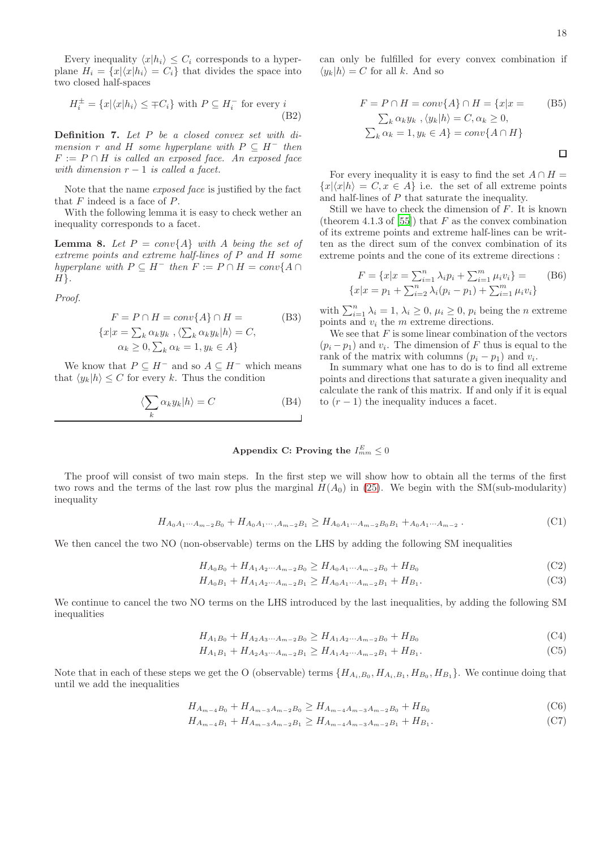Every inequality  $\langle x|h_i \rangle \leq C_i$  corresponds to a hyperplane  $H_i = \{x | \langle x | h_i \rangle = C_i \}$  that divides the space into two closed half-spaces

$$
H_i^{\pm} = \{x | \langle x | h_i \rangle \le \mp C_i \} \text{ with } P \subseteq H_i^- \text{ for every } i
$$
\n(B2)

Definition 7. Let P be a closed convex set with dimension r and H some hyperplane with  $P \subseteq H^-$  then  $F := P \cap H$  is called an exposed face. An exposed face with dimension  $r - 1$  is called a facet.

Note that the name exposed face is justified by the fact that  $F$  indeed is a face of  $P$ .

With the following lemma it is easy to check wether an inequality corresponds to a facet.

**Lemma 8.** Let  $P = conv\{A\}$  with A being the set of extreme points and extreme half-lines of P and H some hyperplane with  $P \subseteq H^-$  then  $F := P \cap H = conv\{A \cap$  $H$ .

Proof.

$$
F = P \cap H = conv\{A\} \cap H =
$$
\n
$$
\{x | x = \sum_{k} \alpha_{k} y_{k}, \langle \sum_{k} \alpha_{k} y_{k} | h \rangle = C,
$$
\n
$$
\alpha_{k} \ge 0, \sum_{k} \alpha_{k} = 1, y_{k} \in A\}
$$
\n(B3)

We know that  $P \subseteq H^-$  and so  $A \subseteq H^-$  which means that  $\langle y_k|h \rangle \leq C$  for every k. Thus the condition

$$
\langle \sum_{k} \alpha_{k} y_{k} | h \rangle = C \tag{B4}
$$

can only be fulfilled for every convex combination if  $\langle y_k|h\rangle = C$  for all k. And so

$$
F = P \cap H = conv\{A\} \cap H = \{x | x = \sum_{k} \alpha_{k} y_{k}, \langle y_{k} | h \rangle = C, \alpha_{k} \ge 0,
$$
  

$$
\sum_{k} \alpha_{k} = 1, y_{k} \in A\} = conv\{A \cap H\}
$$

For every inequality it is easy to find the set  $A \cap H =$  ${x|\langle x|h \rangle = C, x \in A}$  i.e. the set of all extreme points and half-lines of P that saturate the inequality.

Still we have to check the dimension of  $F$ . It is known (theorem 4.1.3 of [\[55](#page-15-7)]) that  $F$  as the convex combination of its extreme points and extreme half-lines can be written as the direct sum of the convex combination of its extreme points and the cone of its extreme directions :

$$
F = \{x | x = \sum_{i=1}^{n} \lambda_i p_i + \sum_{i=1}^{m} \mu_i v_i\} =
$$
(B6)  

$$
\{x | x = p_1 + \sum_{i=2}^{n} \lambda_i (p_i - p_1) + \sum_{i=1}^{m} \mu_i v_i\}
$$

with  $\sum_{i=1}^{n} \lambda_i = 1, \lambda_i \geq 0, \mu_i \geq 0, p_i$  being the *n* extreme points and  $v_i$  the m extreme directions.

We see that  $F$  is some linear combination of the vectors  $(p_i - p_1)$  and  $v_i$ . The dimension of F thus is equal to the rank of the matrix with columns  $(p_i - p_1)$  and  $v_i$ .

In summary what one has to do is to find all extreme points and directions that saturate a given inequality and calculate the rank of this matrix. If and only if it is equal to  $(r-1)$  the inequality induces a facet.

# <span id="page-17-0"></span>Appendix C: Proving the  $I_{mm}^E \leq 0$

The proof will consist of two main steps. In the first step we will show how to obtain all the terms of the first two rows and the terms of the last row plus the marginal  $H(A_0)$  in [\(25\)](#page-7-3). We begin with the SM(sub-modularity) inequality

$$
H_{A_0A_1\cdots A_{m-2}B_0} + H_{A_0A_1\cdots A_{m-2}B_1} \ge H_{A_0A_1\cdots A_{m-2}B_0B_1} +_{A_0A_1\cdots A_{m-2}}.
$$
\n(C1)

We then cancel the two NO (non-observable) terms on the LHS by adding the following SM inequalities

$$
H_{A_0B_0} + H_{A_1A_2\cdots A_{m-2}B_0} \ge H_{A_0A_1\cdots A_{m-2}B_0} + H_{B_0}
$$
\n(C2)

$$
H_{A_0B_1} + H_{A_1A_2\cdots A_{m-2}B_1} \ge H_{A_0A_1\cdots A_{m-2}B_1} + H_{B_1}.
$$
\n(C3)

We continue to cancel the two NO terms on the LHS introduced by the last inequalities, by adding the following SM inequalities

$$
H_{A_1B_0} + H_{A_2A_3\cdots A_{m-2}B_0} \ge H_{A_1A_2\cdots A_{m-2}B_0} + H_{B_0}
$$
\n(C4)

$$
H_{A_1B_1} + H_{A_2A_3\cdots A_{m-2}B_1} \ge H_{A_1A_2\cdots A_{m-2}B_1} + H_{B_1}.
$$
\n(C5)

Note that in each of these steps we get the O (observable) terms  $\{H_{A_i,B_0}, H_{A_i,B_1}, H_{B_0}, H_{B_1}\}$ . We continue doing that until we add the inequalities

$$
H_{A_{m-4}B_0} + H_{A_{m-3}A_{m-2}B_0} \ge H_{A_{m-4}A_{m-3}A_{m-2}B_0} + H_{B_0}
$$
\n(C6)

$$
H_{A_{m-4}B_1} + H_{A_{m-3}A_{m-2}B_1} \ge H_{A_{m-4}A_{m-3}A_{m-2}B_1} + H_{B_1}.
$$
\n
$$
(C7)
$$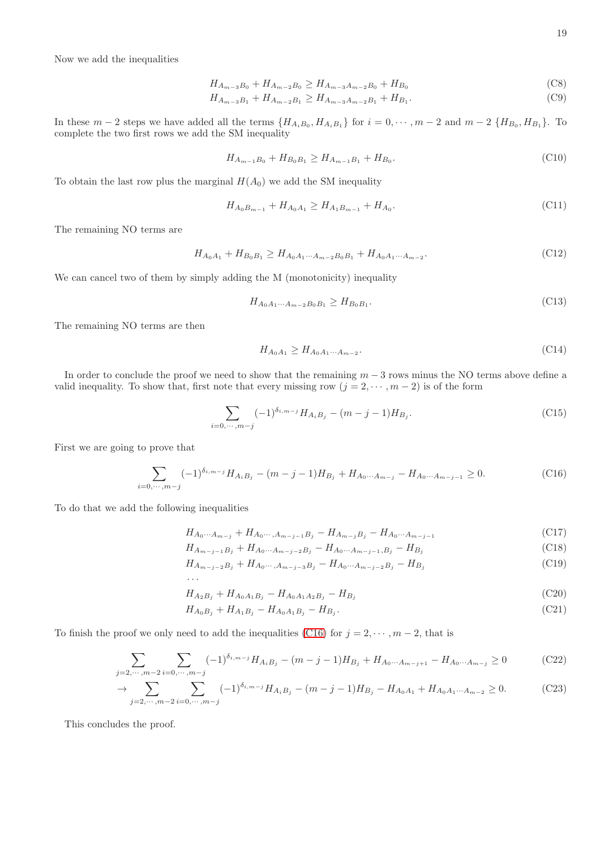Now we add the inequalities

$$
H_{A_{m-3}B_0} + H_{A_{m-2}B_0} \ge H_{A_{m-3}A_{m-2}B_0} + H_{B_0}
$$
\n(C8)

$$
H_{A_{m-3}B_1} + H_{A_{m-2}B_1} \ge H_{A_{m-3}A_{m-2}B_1} + H_{B_1}.
$$
\n(C9)

In these  $m-2$  steps we have added all the terms  $\{H_{A_iB_0}, H_{A_iB_1}\}$  for  $i=0,\dots,m-2$  and  $m-2$   $\{H_{B_0}, H_{B_1}\}$ . To complete the two first rows we add the SM inequality

$$
H_{A_{m-1}B_0} + H_{B_0B_1} \ge H_{A_{m-1}B_1} + H_{B_0}.\tag{C10}
$$

To obtain the last row plus the marginal  $H(A_0)$  we add the SM inequality

$$
H_{A_0B_{m-1}} + H_{A_0A_1} \ge H_{A_1B_{m-1}} + H_{A_0}.\tag{C11}
$$

The remaining NO terms are

$$
H_{A_0A_1} + H_{B_0B_1} \ge H_{A_0A_1\cdots A_{m-2}B_0B_1} + H_{A_0A_1\cdots A_{m-2}}.\tag{C12}
$$

We can cancel two of them by simply adding the M (monotonicity) inequality

$$
H_{A_0A_1\cdots A_{m-2}B_0B_1} \ge H_{B_0B_1}.\tag{C13}
$$

The remaining NO terms are then

$$
H_{A_0A_1} \ge H_{A_0A_1\cdots A_{m-2}}.\tag{C14}
$$

In order to conclude the proof we need to show that the remaining  $m-3$  rows minus the NO terms above define a valid inequality. To show that, first note that every missing row  $(j = 2, \dots, m - 2)$  is of the form

$$
\sum_{i=0,\cdots,m-j} (-1)^{\delta_{i,m-j}} H_{A_i B_j} - (m-j-1) H_{B_j}.
$$
\n(C15)

First we are going to prove that

<span id="page-18-0"></span>
$$
\sum_{i=0,\cdots,m-j} (-1)^{\delta_{i,m-j}} H_{A_i B_j} - (m-j-1) H_{B_j} + H_{A_0 \cdots A_{m-j}} - H_{A_0 \cdots A_{m-j-1}} \ge 0.
$$
 (C16)

To do that we add the following inequalities

· · ·

$$
H_{A_0\cdots A_{m-j}} + H_{A_0\cdots A_{m-j-1}B_j} - H_{A_{m-j}B_j} - H_{A_0\cdots A_{m-j-1}}
$$
\n(C17)

$$
H_{A_{m-j-1}B_j} + H_{A_0\cdots A_{m-j-2}B_j} - H_{A_0\cdots A_{m-j-1},B_j} - H_{B_j}
$$
\n(C18)

$$
H_{A_{m-j-2}B_j} + H_{A_0\cdots A_{m-j-3}B_j} - H_{A_0\cdots A_{m-j-2}B_j} - H_{B_j}
$$
\n(C19)

$$
H_{A_2B_j} + H_{A_0A_1B_j} - H_{A_0A_1A_2B_j} - H_{B_j}
$$
\n(C20)

$$
H_{A_0B_j} + H_{A_1B_j} - H_{A_0A_1B_j} - H_{B_j}.\tag{C21}
$$

To finish the proof we only need to add the inequalities [\(C16\)](#page-18-0) for  $j = 2, \dots, m-2$ , that is

$$
\sum_{j=2,\dots,m-2} \sum_{i=0,\dots,m-j} (-1)^{\delta_{i,m-j}} H_{A_i B_j} - (m-j-1) H_{B_j} + H_{A_0 \dots A_{m-j+1}} - H_{A_0 \dots A_{m-j}} \ge 0
$$
\n(C22)

$$
\rightarrow \sum_{j=2,\dots,m-2} \sum_{i=0,\dots,m-j} (-1)^{\delta_{i,m-j}} H_{A_i B_j} - (m-j-1) H_{B_j} - H_{A_0 A_1} + H_{A_0 A_1 \dots A_{m-2}} \ge 0.
$$
 (C23)

This concludes the proof.